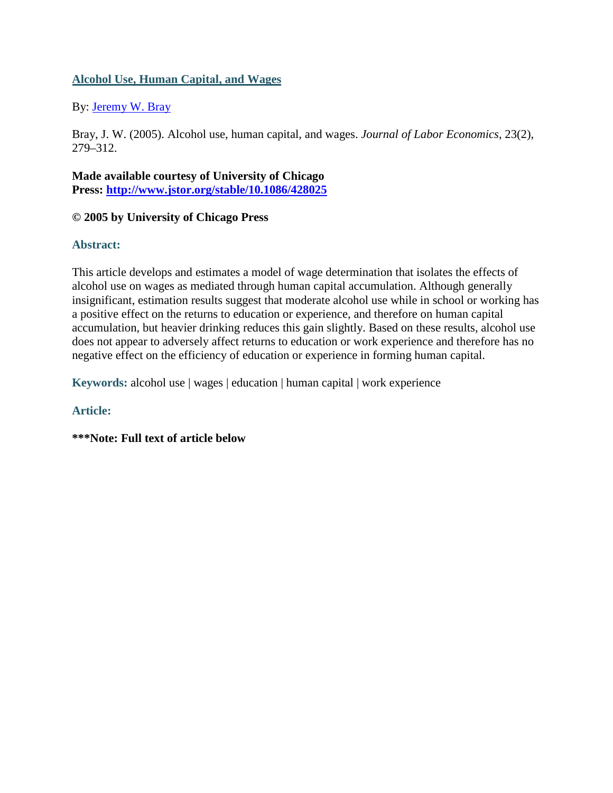## **Alcohol Use, Human Capital, and Wages**

### By: [Jeremy W. Bray](https://libres.uncg.edu/ir/uncg/clist.aspx?id=9220)

Bray, J. W. (2005). Alcohol use, human capital, and wages. *Journal of Labor Economics*, 23(2), 279–312.

**Made available courtesy of University of Chicago Press:<http://www.jstor.org/stable/10.1086/428025>**

### **© 2005 by University of Chicago Press**

## **Abstract:**

This article develops and estimates a model of wage determination that isolates the effects of alcohol use on wages as mediated through human capital accumulation. Although generally insignificant, estimation results suggest that moderate alcohol use while in school or working has a positive effect on the returns to education or experience, and therefore on human capital accumulation, but heavier drinking reduces this gain slightly. Based on these results, alcohol use does not appear to adversely affect returns to education or work experience and therefore has no negative effect on the efficiency of education or experience in forming human capital.

**Keywords:** alcohol use | wages | education | human capital | work experience

### **Article:**

**\*\*\*Note: Full text of article below**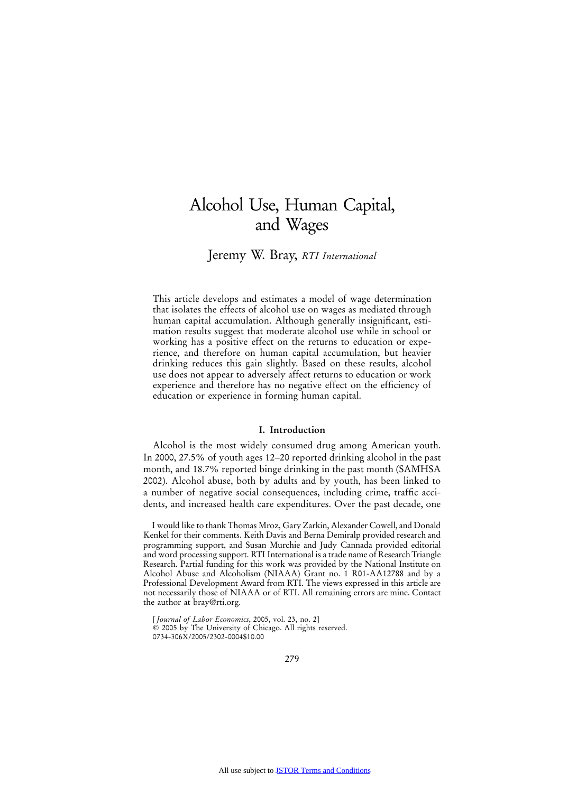# Alcohol Use, Human Capital, and Wages

## Jeremy W. Bray, *RTI International*

This article develops and estimates a model of wage determination that isolates the effects of alcohol use on wages as mediated through human capital accumulation. Although generally insignificant, estimation results suggest that moderate alcohol use while in school or working has a positive effect on the returns to education or experience, and therefore on human capital accumulation, but heavier drinking reduces this gain slightly. Based on these results, alcohol use does not appear to adversely affect returns to education or work experience and therefore has no negative effect on the efficiency of education or experience in forming human capital.

#### **I. Introduction**

Alcohol is the most widely consumed drug among American youth. In 2000, 27.5% of youth ages 12–20 reported drinking alcohol in the past month, and 18.7% reported binge drinking in the past month (SAMHSA 2002). Alcohol abuse, both by adults and by youth, has been linked to a number of negative social consequences, including crime, traffic accidents, and increased health care expenditures. Over the past decade, one

I would like to thank Thomas Mroz, Gary Zarkin, Alexander Cowell, and Donald Kenkel for their comments. Keith Davis and Berna Demiralp provided research and programming support, and Susan Murchie and Judy Cannada provided editorial and word processing support. RTI International is a trade name of Research Triangle Research. Partial funding for this work was provided by the National Institute on Alcohol Abuse and Alcoholism (NIAAA) Grant no. 1 R01-AA12788 and by a Professional Development Award from RTI. The views expressed in this article are not necessarily those of NIAAA or of RTI. All remaining errors are mine. Contact the author at bray@rti.org.

[*Journal of Labor Economics*, 2005, vol. 23, no. 2] 2005 by The University of Chicago. All rights reserved. 0734-306X/2005/2302-0004\$10.00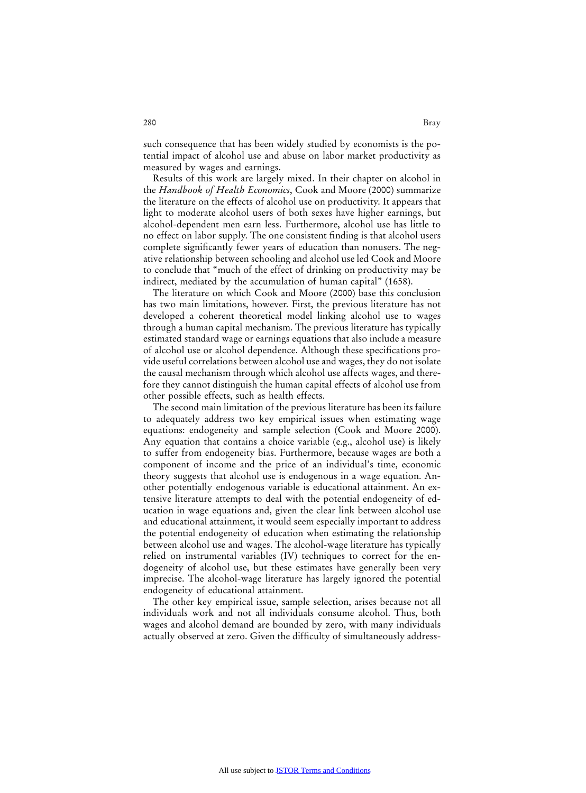such consequence that has been widely studied by economists is the potential impact of alcohol use and abuse on labor market productivity as measured by wages and earnings.

Results of this work are largely mixed. In their chapter on alcohol in the *Handbook of Health Economics*, Cook and Moore (2000) summarize the literature on the effects of alcohol use on productivity. It appears that light to moderate alcohol users of both sexes have higher earnings, but alcohol-dependent men earn less. Furthermore, alcohol use has little to no effect on labor supply. The one consistent finding is that alcohol users complete significantly fewer years of education than nonusers. The negative relationship between schooling and alcohol use led Cook and Moore to conclude that "much of the effect of drinking on productivity may be indirect, mediated by the accumulation of human capital" (1658).

The literature on which Cook and Moore (2000) base this conclusion has two main limitations, however. First, the previous literature has not developed a coherent theoretical model linking alcohol use to wages through a human capital mechanism. The previous literature has typically estimated standard wage or earnings equations that also include a measure of alcohol use or alcohol dependence. Although these specifications provide useful correlations between alcohol use and wages, they do not isolate the causal mechanism through which alcohol use affects wages, and therefore they cannot distinguish the human capital effects of alcohol use from other possible effects, such as health effects.

The second main limitation of the previous literature has been its failure to adequately address two key empirical issues when estimating wage equations: endogeneity and sample selection (Cook and Moore 2000). Any equation that contains a choice variable (e.g., alcohol use) is likely to suffer from endogeneity bias. Furthermore, because wages are both a component of income and the price of an individual's time, economic theory suggests that alcohol use is endogenous in a wage equation. Another potentially endogenous variable is educational attainment. An extensive literature attempts to deal with the potential endogeneity of education in wage equations and, given the clear link between alcohol use and educational attainment, it would seem especially important to address the potential endogeneity of education when estimating the relationship between alcohol use and wages. The alcohol-wage literature has typically relied on instrumental variables (IV) techniques to correct for the endogeneity of alcohol use, but these estimates have generally been very imprecise. The alcohol-wage literature has largely ignored the potential endogeneity of educational attainment.

The other key empirical issue, sample selection, arises because not all individuals work and not all individuals consume alcohol. Thus, both wages and alcohol demand are bounded by zero, with many individuals actually observed at zero. Given the difficulty of simultaneously address-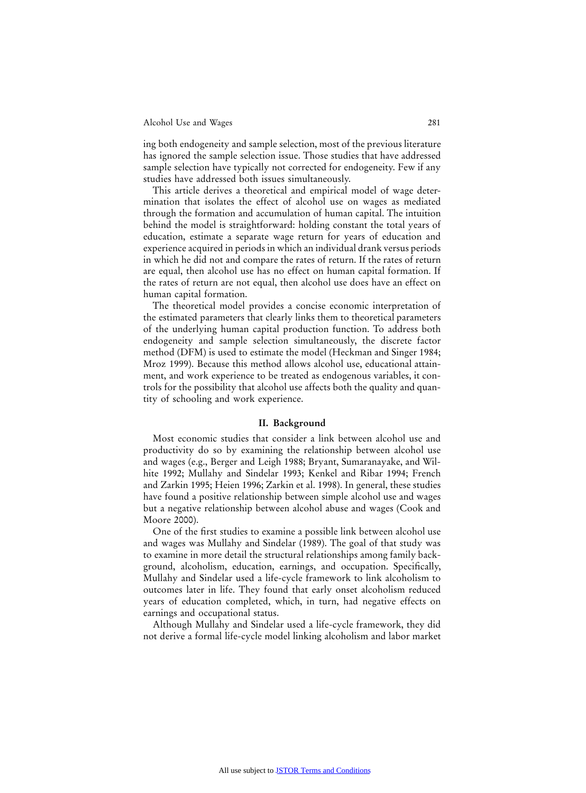ing both endogeneity and sample selection, most of the previous literature has ignored the sample selection issue. Those studies that have addressed sample selection have typically not corrected for endogeneity. Few if any studies have addressed both issues simultaneously.

This article derives a theoretical and empirical model of wage determination that isolates the effect of alcohol use on wages as mediated through the formation and accumulation of human capital. The intuition behind the model is straightforward: holding constant the total years of education, estimate a separate wage return for years of education and experience acquired in periods in which an individual drank versus periods in which he did not and compare the rates of return. If the rates of return are equal, then alcohol use has no effect on human capital formation. If the rates of return are not equal, then alcohol use does have an effect on human capital formation.

The theoretical model provides a concise economic interpretation of the estimated parameters that clearly links them to theoretical parameters of the underlying human capital production function. To address both endogeneity and sample selection simultaneously, the discrete factor method (DFM) is used to estimate the model (Heckman and Singer 1984; Mroz 1999). Because this method allows alcohol use, educational attainment, and work experience to be treated as endogenous variables, it controls for the possibility that alcohol use affects both the quality and quantity of schooling and work experience.

#### **II. Background**

Most economic studies that consider a link between alcohol use and productivity do so by examining the relationship between alcohol use and wages (e.g., Berger and Leigh 1988; Bryant, Sumaranayake, and Wilhite 1992; Mullahy and Sindelar 1993; Kenkel and Ribar 1994; French and Zarkin 1995; Heien 1996; Zarkin et al. 1998). In general, these studies have found a positive relationship between simple alcohol use and wages but a negative relationship between alcohol abuse and wages (Cook and Moore 2000).

One of the first studies to examine a possible link between alcohol use and wages was Mullahy and Sindelar (1989). The goal of that study was to examine in more detail the structural relationships among family background, alcoholism, education, earnings, and occupation. Specifically, Mullahy and Sindelar used a life-cycle framework to link alcoholism to outcomes later in life. They found that early onset alcoholism reduced years of education completed, which, in turn, had negative effects on earnings and occupational status.

Although Mullahy and Sindelar used a life-cycle framework, they did not derive a formal life-cycle model linking alcoholism and labor market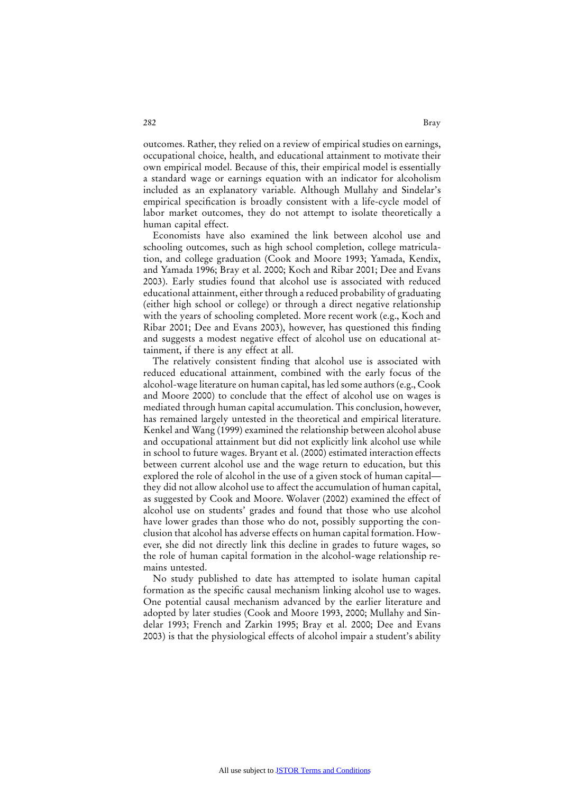outcomes. Rather, they relied on a review of empirical studies on earnings, occupational choice, health, and educational attainment to motivate their own empirical model. Because of this, their empirical model is essentially a standard wage or earnings equation with an indicator for alcoholism included as an explanatory variable. Although Mullahy and Sindelar's empirical specification is broadly consistent with a life-cycle model of labor market outcomes, they do not attempt to isolate theoretically a human capital effect.

Economists have also examined the link between alcohol use and schooling outcomes, such as high school completion, college matriculation, and college graduation (Cook and Moore 1993; Yamada, Kendix, and Yamada 1996; Bray et al. 2000; Koch and Ribar 2001; Dee and Evans 2003). Early studies found that alcohol use is associated with reduced educational attainment, either through a reduced probability of graduating (either high school or college) or through a direct negative relationship with the years of schooling completed. More recent work (e.g., Koch and Ribar 2001; Dee and Evans 2003), however, has questioned this finding and suggests a modest negative effect of alcohol use on educational attainment, if there is any effect at all.

The relatively consistent finding that alcohol use is associated with reduced educational attainment, combined with the early focus of the alcohol-wage literature on human capital, has led some authors (e.g., Cook and Moore 2000) to conclude that the effect of alcohol use on wages is mediated through human capital accumulation. This conclusion, however, has remained largely untested in the theoretical and empirical literature. Kenkel and Wang (1999) examined the relationship between alcohol abuse and occupational attainment but did not explicitly link alcohol use while in school to future wages. Bryant et al. (2000) estimated interaction effects between current alcohol use and the wage return to education, but this explored the role of alcohol in the use of a given stock of human capital they did not allow alcohol use to affect the accumulation of human capital, as suggested by Cook and Moore. Wolaver (2002) examined the effect of alcohol use on students' grades and found that those who use alcohol have lower grades than those who do not, possibly supporting the conclusion that alcohol has adverse effects on human capital formation. However, she did not directly link this decline in grades to future wages, so the role of human capital formation in the alcohol-wage relationship remains untested.

No study published to date has attempted to isolate human capital formation as the specific causal mechanism linking alcohol use to wages. One potential causal mechanism advanced by the earlier literature and adopted by later studies (Cook and Moore 1993, 2000; Mullahy and Sindelar 1993; French and Zarkin 1995; Bray et al. 2000; Dee and Evans 2003) is that the physiological effects of alcohol impair a student's ability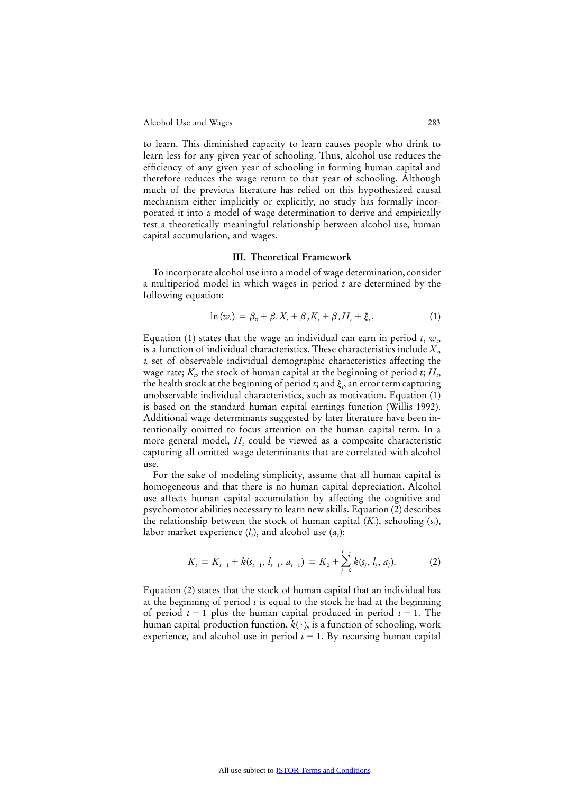to learn. This diminished capacity to learn causes people who drink to learn less for any given year of schooling. Thus, alcohol use reduces the efficiency of any given year of schooling in forming human capital and therefore reduces the wage return to that year of schooling. Although much of the previous literature has relied on this hypothesized causal mechanism either implicitly or explicitly, no study has formally incorporated it into a model of wage determination to derive and empirically test a theoretically meaningful relationship between alcohol use, human capital accumulation, and wages.

#### **III. Theoretical Framework**

To incorporate alcohol use into a model of wage determination, consider a multiperiod model in which wages in period *t* are determined by the following equation:

$$
\ln(w_t) = \beta_0 + \beta_1 X_t + \beta_2 K_t + \beta_3 H_t + \xi_t.
$$
 (1)

Equation (1) states that the wage an individual can earn in period  $t, w_t$ is a function of individual characteristics. These characteristics include  $X_{t}$ , a set of observable individual demographic characteristics affecting the wage rate;  $K_c$ , the stock of human capital at the beginning of period  $t$ ;  $H_c$ the health stock at the beginning of period *t*; and  $\xi$  , an error term capturing unobservable individual characteristics, such as motivation. Equation (1) is based on the standard human capital earnings function (Willis 1992). Additional wage determinants suggested by later literature have been intentionally omitted to focus attention on the human capital term. In a more general model, *H*, could be viewed as a composite characteristic capturing all omitted wage determinants that are correlated with alcohol use.

For the sake of modeling simplicity, assume that all human capital is homogeneous and that there is no human capital depreciation. Alcohol use affects human capital accumulation by affecting the cognitive and psychomotor abilities necessary to learn new skills. Equation (2) describes the relationship between the stock of human capital  $(K_t)$ , schooling  $(s_t)$ , labor market experience  $(l_t)$ , and alcohol use  $(a_t)$ :

$$
K_{t} = K_{t-1} + k(s_{t-1}, l_{t-1}, a_{t-1}) = K_{0} + \sum_{j=0}^{t-1} k(s_{j}, l_{j}, a_{j}). \qquad (2)
$$

Equation (2) states that the stock of human capital that an individual has at the beginning of period *t* is equal to the stock he had at the beginning of period  $t - 1$  plus the human capital produced in period  $t - 1$ . The human capital production function,  $k(\cdot)$ , is a function of schooling, work experience, and alcohol use in period  $t-1$ . By recursing human capital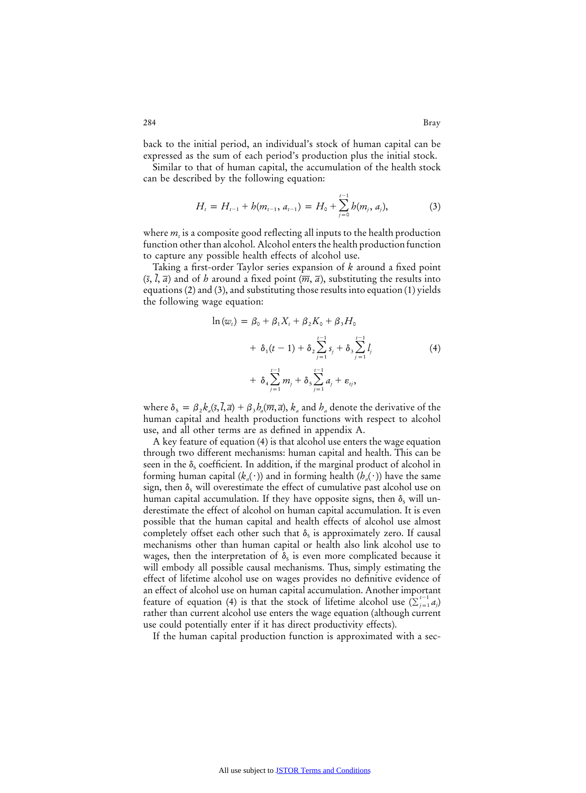back to the initial period, an individual's stock of human capital can be expressed as the sum of each period's production plus the initial stock.

Similar to that of human capital, the accumulation of the health stock can be described by the following equation:

$$
H_t = H_{t-1} + b(m_{t-1}, a_{t-1}) = H_0 + \sum_{j=0}^{t-1} b(m_j, a_j), \tag{3}
$$

where  $m<sub>i</sub>$  is a composite good reflecting all inputs to the health production function other than alcohol. Alcohol enters the health production function to capture any possible health effects of alcohol use.

Taking a first-order Taylor series expansion of *k* around a fixed point  $(\bar{s}, \bar{l}, \bar{a})$  and of *h* around a fixed point  $(\bar{m}, \bar{a})$ , substituting the results into equations (2) and (3), and substituting those results into equation (1) yields the following wage equation:

$$
\ln(w_i) = \beta_0 + \beta_1 X_i + \beta_2 K_0 + \beta_3 H_0
$$
  
+  $\delta_1 (t - 1) + \delta_2 \sum_{j=1}^{t-1} s_j + \delta_3 \sum_{j=1}^{t-1} l_j$  (4)  
+  $\delta_4 \sum_{j=1}^{t-1} m_j + \delta_5 \sum_{j=1}^{t-1} a_j + \varepsilon_{ij}$ ,

where  $\delta_5 = \beta_2 k_a(\bar{s}, \bar{l}, \bar{a}) + \beta_3 h_a(\bar{m}, \bar{a}), k_a$  and  $h_a$  denote the derivative of the human capital and health production functions with respect to alcohol use, and all other terms are as defined in appendix A.

A key feature of equation (4) is that alcohol use enters the wage equation through two different mechanisms: human capital and health. This can be seen in the  $\delta_5$  coefficient. In addition, if the marginal product of alcohol in forming human capital  $(k_a(\cdot))$  and in forming health  $(h_a(\cdot))$  have the same sign, then  $\delta_5$  will overestimate the effect of cumulative past alcohol use on human capital accumulation. If they have opposite signs, then  $\delta_5$  will underestimate the effect of alcohol on human capital accumulation. It is even possible that the human capital and health effects of alcohol use almost completely offset each other such that  $\delta_5$  is approximately zero. If causal mechanisms other than human capital or health also link alcohol use to wages, then the interpretation of  $\delta_5$  is even more complicated because it will embody all possible causal mechanisms. Thus, simply estimating the effect of lifetime alcohol use on wages provides no definitive evidence of an effect of alcohol use on human capital accumulation. Another important feature of equation (4) is that the stock of lifetime alcohol use  $(\sum_{j=1}^{t-1} a_j)$ rather than current alcohol use enters the wage equation (although current use could potentially enter if it has direct productivity effects).

If the human capital production function is approximated with a sec-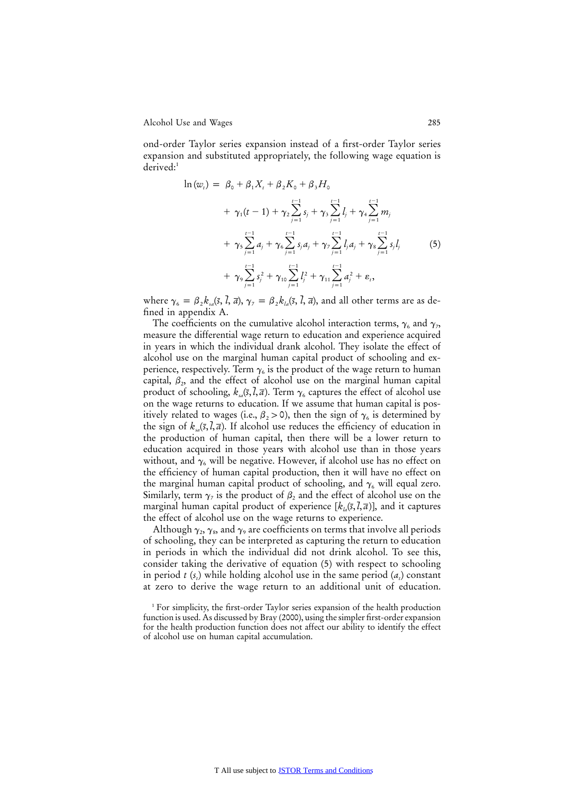ond-order Taylor series expansion instead of a first-order Taylor series expansion and substituted appropriately, the following wage equation is derived:<sup>1</sup>

$$
\ln(\omega_t) = \beta_0 + \beta_1 X_t + \beta_2 K_0 + \beta_3 H_0
$$
  
+  $\gamma_1(t-1) + \gamma_2 \sum_{j=1}^{t-1} s_j + \gamma_3 \sum_{j=1}^{t-1} l_j + \gamma_4 \sum_{j=1}^{t-1} m_j$   
+  $\gamma_5 \sum_{j=1}^{t-1} a_j + \gamma_6 \sum_{j=1}^{t-1} s_j a_j + \gamma_7 \sum_{j=1}^{t-1} l_j a_j + \gamma_8 \sum_{j=1}^{t-1} s_j l_j$  (5)  
+  $\gamma_9 \sum_{j=1}^{t-1} s_j^2 + \gamma_{10} \sum_{j=1}^{t-1} l_j^2 + \gamma_{11} \sum_{j=1}^{t-1} a_j^2 + \varepsilon_t$ ,

where  $\gamma_6 = \beta_2 k_{sa}(\bar{s}, \bar{l}, \bar{a}), \gamma_7 = \beta_2 k_{la}(\bar{s}, \bar{l}, \bar{a}),$  and all other terms are as defined in appendix A.

The coefficients on the cumulative alcohol interaction terms,  $\gamma_6$  and  $\gamma_7$ , measure the differential wage return to education and experience acquired in years in which the individual drank alcohol. They isolate the effect of alcohol use on the marginal human capital product of schooling and experience, respectively. Term  $\gamma_6$  is the product of the wage return to human capital,  $\beta_2$ , and the effect of alcohol use on the marginal human capital product of schooling,  $k_{sd}(\bar{s}, \bar{l}, \bar{a})$ . Term  $\gamma_6$  captures the effect of alcohol use on the wage returns to education. If we assume that human capital is positively related to wages (i.e.,  $\beta_2 > 0$ ), then the sign of  $\gamma_6$  is determined by the sign of  $k_{s}(\overline{s}, \overline{l}, \overline{a})$ . If alcohol use reduces the efficiency of education in the production of human capital, then there will be a lower return to education acquired in those years with alcohol use than in those years without, and  $\gamma_6$  will be negative. However, if alcohol use has no effect on the efficiency of human capital production, then it will have no effect on the marginal human capital product of schooling, and  $\gamma_6$  will equal zero. Similarly, term  $\gamma_7$  is the product of  $\beta_2$  and the effect of alcohol use on the marginal human capital product of experience  $[k_{\mu}(\bar{s}, l, \bar{a})]$ , and it captures the effect of alcohol use on the wage returns to experience.

Although  $\gamma_2$ ,  $\gamma_8$ , and  $\gamma_9$  are coefficients on terms that involve all periods of schooling, they can be interpreted as capturing the return to education in periods in which the individual did not drink alcohol. To see this, consider taking the derivative of equation (5) with respect to schooling in period  $t$   $(s<sub>i</sub>)$  while holding alcohol use in the same period  $(a<sub>i</sub>)$  constant at zero to derive the wage return to an additional unit of education.

<sup>&</sup>lt;sup>1</sup> For simplicity, the first-order Taylor series expansion of the health production function is used. As discussed by Bray (2000), using the simpler first-order expansion for the health production function does not affect our ability to identify the effect of alcohol use on human capital accumulation.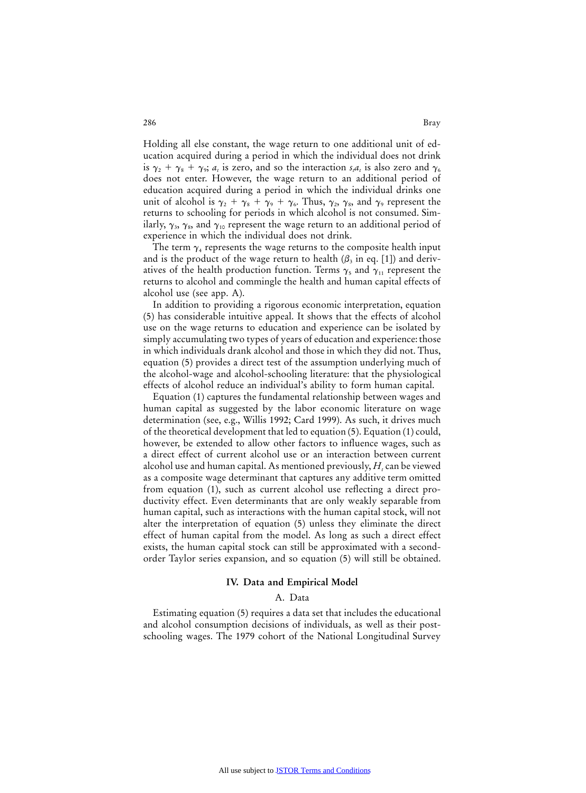Holding all else constant, the wage return to one additional unit of education acquired during a period in which the individual does not drink is  $\gamma_2 + \gamma_8 + \gamma_9$ ;  $a_t$  is zero, and so the interaction  $s_t a_t$  is also zero and  $\gamma_6$ does not enter. However, the wage return to an additional period of education acquired during a period in which the individual drinks one unit of alcohol is  $\gamma_2 + \gamma_8 + \gamma_9 + \gamma_6$ . Thus,  $\gamma_2$ ,  $\gamma_8$ , and  $\gamma_9$  represent the returns to schooling for periods in which alcohol is not consumed. Similarly,  $\gamma_3$ ,  $\gamma_8$ , and  $\gamma_{10}$  represent the wage return to an additional period of experience in which the individual does not drink.

The term  $\gamma_4$  represents the wage returns to the composite health input and is the product of the wage return to health  $(\beta_3$  in eq. [1]) and derivatives of the health production function. Terms  $\gamma_5$  and  $\gamma_{11}$  represent the returns to alcohol and commingle the health and human capital effects of alcohol use (see app. A).

In addition to providing a rigorous economic interpretation, equation (5) has considerable intuitive appeal. It shows that the effects of alcohol use on the wage returns to education and experience can be isolated by simply accumulating two types of years of education and experience: those in which individuals drank alcohol and those in which they did not. Thus, equation (5) provides a direct test of the assumption underlying much of the alcohol-wage and alcohol-schooling literature: that the physiological effects of alcohol reduce an individual's ability to form human capital.

Equation (1) captures the fundamental relationship between wages and human capital as suggested by the labor economic literature on wage determination (see, e.g., Willis 1992; Card 1999). As such, it drives much of the theoretical development that led to equation (5). Equation (1) could, however, be extended to allow other factors to influence wages, such as a direct effect of current alcohol use or an interaction between current alcohol use and human capital. As mentioned previously,  $H_t$  can be viewed as a composite wage determinant that captures any additive term omitted from equation (1), such as current alcohol use reflecting a direct productivity effect. Even determinants that are only weakly separable from human capital, such as interactions with the human capital stock, will not alter the interpretation of equation (5) unless they eliminate the direct effect of human capital from the model. As long as such a direct effect exists, the human capital stock can still be approximated with a secondorder Taylor series expansion, and so equation (5) will still be obtained.

#### **IV. Data and Empirical Model**

#### A. Data

Estimating equation (5) requires a data set that includes the educational and alcohol consumption decisions of individuals, as well as their postschooling wages. The 1979 cohort of the National Longitudinal Survey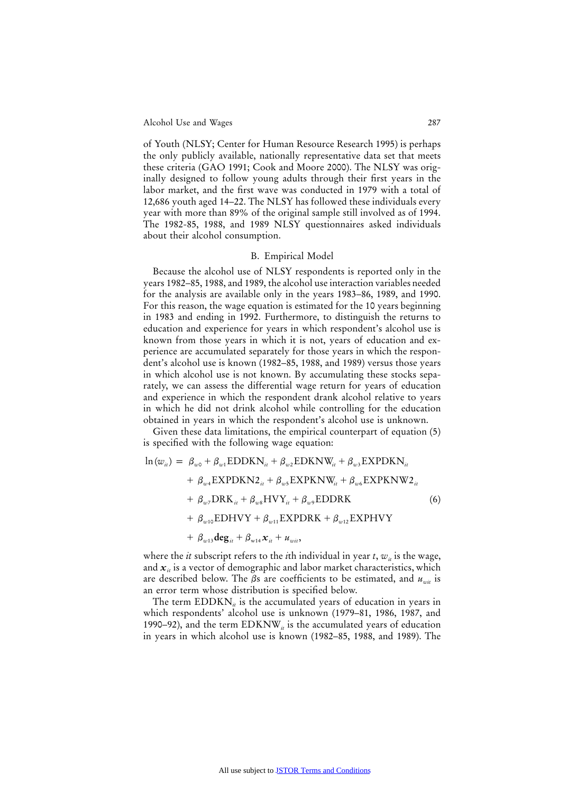of Youth (NLSY; Center for Human Resource Research 1995) is perhaps the only publicly available, nationally representative data set that meets these criteria (GAO 1991; Cook and Moore 2000). The NLSY was originally designed to follow young adults through their first years in the labor market, and the first wave was conducted in 1979 with a total of 12,686 youth aged 14–22. The NLSY has followed these individuals every year with more than 89% of the original sample still involved as of 1994. The 1982-85, 1988, and 1989 NLSY questionnaires asked individuals about their alcohol consumption.

#### B. Empirical Model

Because the alcohol use of NLSY respondents is reported only in the years 1982–85, 1988, and 1989, the alcohol use interaction variables needed for the analysis are available only in the years 1983–86, 1989, and 1990. For this reason, the wage equation is estimated for the 10 years beginning in 1983 and ending in 1992. Furthermore, to distinguish the returns to education and experience for years in which respondent's alcohol use is known from those years in which it is not, years of education and experience are accumulated separately for those years in which the respondent's alcohol use is known (1982–85, 1988, and 1989) versus those years in which alcohol use is not known. By accumulating these stocks separately, we can assess the differential wage return for years of education and experience in which the respondent drank alcohol relative to years in which he did not drink alcohol while controlling for the education obtained in years in which the respondent's alcohol use is unknown.

Given these data limitations, the empirical counterpart of equation (5) is specified with the following wage equation:

$$
\ln(\omega_{ii}) = \beta_{w0} + \beta_{w1} \text{EDDKN}_{ii} + \beta_{w2} \text{EDKNW}_{ii} + \beta_{w3} \text{EXPDKN}_{ii}
$$
  
+  $\beta_{w4} \text{EXPDKN2}_{ii} + \beta_{w5} \text{EXPKNW}_{ii} + \beta_{w6} \text{EXPKNW2}_{ii}$   
+  $\beta_{w7} \text{DRK}_{ii} + \beta_{w8} \text{HVY}_{ii} + \beta_{w9} \text{EDDRK}$  (6)  
+  $\beta_{w10} \text{EDHVY} + \beta_{w11} \text{EXPDRK} + \beta_{w12} \text{EXPHVY}$   
+  $\beta_{w13} \text{deg}_{ii} + \beta_{w14} x_{ii} + u_{wi},$ 

where the *it* subscript refers to the *i*th individual in year *t*,  $w_{it}$  is the wage, and  $\mathbf{x}_{it}$  is a vector of demographic and labor market characteristics, which are described below. The  $\beta s$  are coefficients to be estimated, and  $u_{wit}$  is an error term whose distribution is specified below.

The term  $EDDKN_{it}$  is the accumulated years of education in years in which respondents' alcohol use is unknown (1979–81, 1986, 1987, and 1990–92), and the term  $EDKNW_{it}$  is the accumulated years of education in years in which alcohol use is known (1982–85, 1988, and 1989). The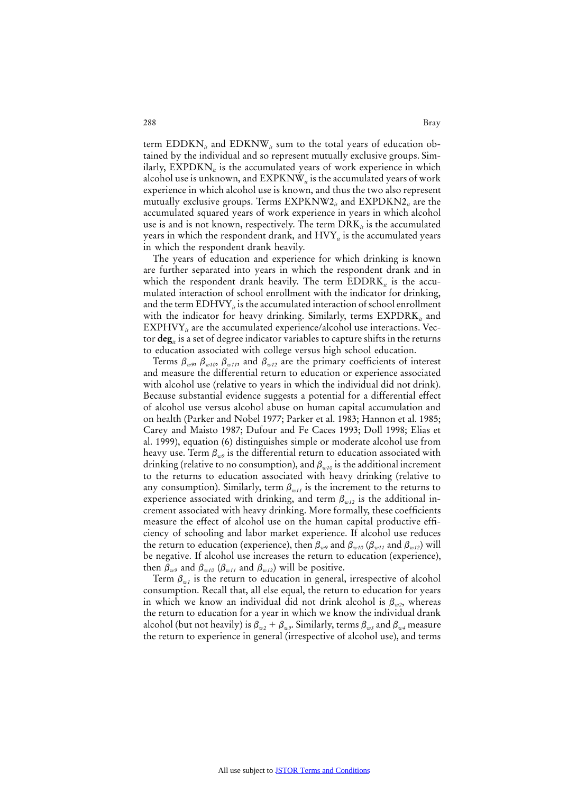term  $EDDKN_{it}$  and  $EDKNW_{it}$  sum to the total years of education obtained by the individual and so represent mutually exclusive groups. Similarly, EXPDKN<sub>it</sub> is the accumulated years of work experience in which alcohol use is unknown, and  $EXPKNW_{it}$  is the accumulated years of work experience in which alcohol use is known, and thus the two also represent mutually exclusive groups. Terms EXPKNW2<sub>*it*</sub> and EXPDKN2<sub>*it*</sub> are the accumulated squared years of work experience in years in which alcohol use is and is not known, respectively. The term DRK<sub>*it*</sub> is the accumulated years in which the respondent drank, and  $HVY_{it}$  is the accumulated years in which the respondent drank heavily.

The years of education and experience for which drinking is known are further separated into years in which the respondent drank and in which the respondent drank heavily. The term  $EDDRK<sub>i</sub>$  is the accumulated interaction of school enrollment with the indicator for drinking, and the term  $EDHVY_{it}$  is the accumulated interaction of school enrollment with the indicator for heavy drinking. Similarly, terms EXPDRK<sub>it</sub> and  $EXPHVY<sub>it</sub>$  are the accumulated experience/alcohol use interactions. Vector  $\deg_{it}$  is a set of degree indicator variables to capture shifts in the returns to education associated with college versus high school education.

Terms  $\beta_{w9}$ ,  $\beta_{w10}$ ,  $\beta_{w11}$ , and  $\beta_{w12}$  are the primary coefficients of interest and measure the differential return to education or experience associated with alcohol use (relative to years in which the individual did not drink). Because substantial evidence suggests a potential for a differential effect of alcohol use versus alcohol abuse on human capital accumulation and on health (Parker and Nobel 1977; Parker et al. 1983; Hannon et al. 1985; Carey and Maisto 1987; Dufour and Fe Caces 1993; Doll 1998; Elias et al. 1999), equation (6) distinguishes simple or moderate alcohol use from heavy use. Term  $\beta_{w9}$  is the differential return to education associated with drinking (relative to no consumption), and  $\beta_{w10}$  is the additional increment to the returns to education associated with heavy drinking (relative to any consumption). Similarly, term  $\beta_{w11}$  is the increment to the returns to experience associated with drinking, and term  $\beta_{w12}$  is the additional increment associated with heavy drinking. More formally, these coefficients measure the effect of alcohol use on the human capital productive efficiency of schooling and labor market experience. If alcohol use reduces the return to education (experience), then  $\beta_{w9}$  and  $\beta_{w10}$  ( $\beta_{w11}$  and  $\beta_{w12}$ ) will be negative. If alcohol use increases the return to education (experience), then  $\beta_{w9}$  and  $\beta_{w10}$  ( $\beta_{w11}$  and  $\beta_{w12}$ ) will be positive.

Term  $\beta_{w1}$  is the return to education in general, irrespective of alcohol consumption. Recall that, all else equal, the return to education for years in which we know an individual did not drink alcohol is  $\beta_{w2}$ , whereas the return to education for a year in which we know the individual drank alcohol (but not heavily) is  $\beta_{w2} + \beta_{w9}$ . Similarly, terms  $\beta_{w3}$  and  $\beta_{w4}$  measure the return to experience in general (irrespective of alcohol use), and terms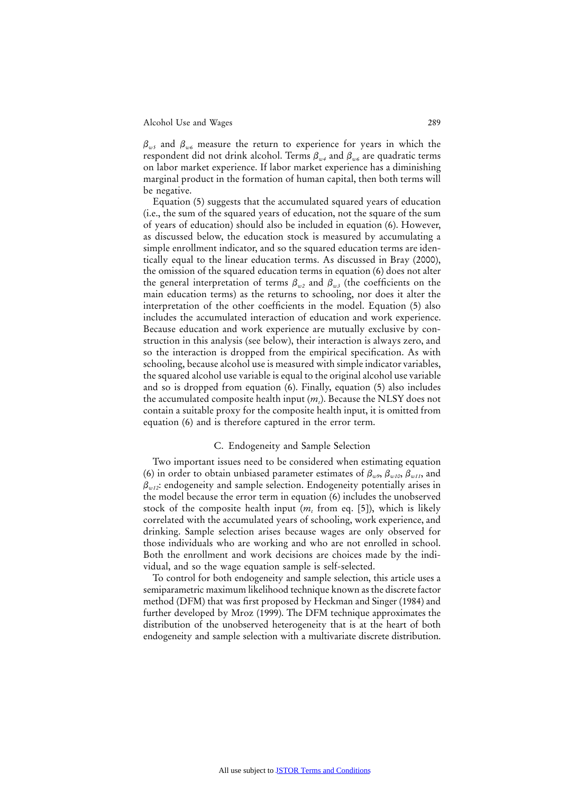$\beta_{w5}$  and  $\beta_{w6}$  measure the return to experience for years in which the respondent did not drink alcohol. Terms  $\beta_{w4}$  and  $\beta_{w6}$  are quadratic terms on labor market experience. If labor market experience has a diminishing marginal product in the formation of human capital, then both terms will be negative.

Equation (5) suggests that the accumulated squared years of education (i.e., the sum of the squared years of education, not the square of the sum of years of education) should also be included in equation (6). However, as discussed below, the education stock is measured by accumulating a simple enrollment indicator, and so the squared education terms are identically equal to the linear education terms. As discussed in Bray (2000), the omission of the squared education terms in equation (6) does not alter the general interpretation of terms  $\beta_{w2}$  and  $\beta_{w3}$  (the coefficients on the main education terms) as the returns to schooling, nor does it alter the interpretation of the other coefficients in the model. Equation (5) also includes the accumulated interaction of education and work experience. Because education and work experience are mutually exclusive by construction in this analysis (see below), their interaction is always zero, and so the interaction is dropped from the empirical specification. As with schooling, because alcohol use is measured with simple indicator variables, the squared alcohol use variable is equal to the original alcohol use variable and so is dropped from equation (6). Finally, equation (5) also includes the accumulated composite health input  $(m_t)$ . Because the NLSY does not contain a suitable proxy for the composite health input, it is omitted from equation (6) and is therefore captured in the error term.

#### C. Endogeneity and Sample Selection

Two important issues need to be considered when estimating equation (6) in order to obtain unbiased parameter estimates of  $\beta_{w9}$ ,  $\beta_{w10}$ ,  $\beta_{w11}$ , and  $\beta_{m1}$ : endogeneity and sample selection. Endogeneity potentially arises in the model because the error term in equation (6) includes the unobserved stock of the composite health input  $(m<sub>t</sub>$  from eq. [5]), which is likely correlated with the accumulated years of schooling, work experience, and drinking. Sample selection arises because wages are only observed for those individuals who are working and who are not enrolled in school. Both the enrollment and work decisions are choices made by the individual, and so the wage equation sample is self-selected.

To control for both endogeneity and sample selection, this article uses a semiparametric maximum likelihood technique known as the discrete factor method (DFM) that was first proposed by Heckman and Singer (1984) and further developed by Mroz (1999). The DFM technique approximates the distribution of the unobserved heterogeneity that is at the heart of both endogeneity and sample selection with a multivariate discrete distribution.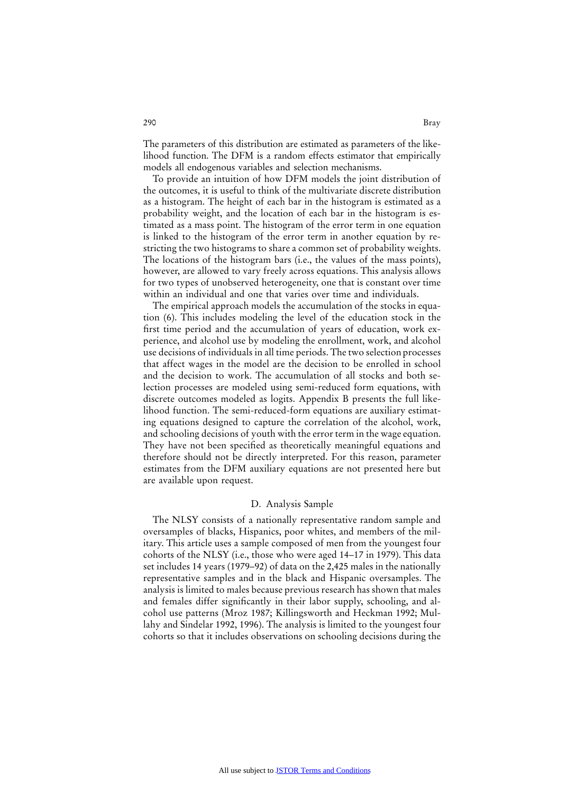The parameters of this distribution are estimated as parameters of the likelihood function. The DFM is a random effects estimator that empirically models all endogenous variables and selection mechanisms.

To provide an intuition of how DFM models the joint distribution of the outcomes, it is useful to think of the multivariate discrete distribution as a histogram. The height of each bar in the histogram is estimated as a probability weight, and the location of each bar in the histogram is estimated as a mass point. The histogram of the error term in one equation is linked to the histogram of the error term in another equation by restricting the two histograms to share a common set of probability weights. The locations of the histogram bars (i.e., the values of the mass points), however, are allowed to vary freely across equations. This analysis allows for two types of unobserved heterogeneity, one that is constant over time within an individual and one that varies over time and individuals.

The empirical approach models the accumulation of the stocks in equation (6). This includes modeling the level of the education stock in the first time period and the accumulation of years of education, work experience, and alcohol use by modeling the enrollment, work, and alcohol use decisions of individuals in all time periods. The two selection processes that affect wages in the model are the decision to be enrolled in school and the decision to work. The accumulation of all stocks and both selection processes are modeled using semi-reduced form equations, with discrete outcomes modeled as logits. Appendix B presents the full likelihood function. The semi-reduced-form equations are auxiliary estimating equations designed to capture the correlation of the alcohol, work, and schooling decisions of youth with the error term in the wage equation. They have not been specified as theoretically meaningful equations and therefore should not be directly interpreted. For this reason, parameter estimates from the DFM auxiliary equations are not presented here but are available upon request.

#### D. Analysis Sample

The NLSY consists of a nationally representative random sample and oversamples of blacks, Hispanics, poor whites, and members of the military. This article uses a sample composed of men from the youngest four cohorts of the NLSY (i.e., those who were aged 14–17 in 1979). This data set includes 14 years (1979–92) of data on the 2,425 males in the nationally representative samples and in the black and Hispanic oversamples. The analysis is limited to males because previous research has shown that males and females differ significantly in their labor supply, schooling, and alcohol use patterns (Mroz 1987; Killingsworth and Heckman 1992; Mullahy and Sindelar 1992, 1996). The analysis is limited to the youngest four cohorts so that it includes observations on schooling decisions during the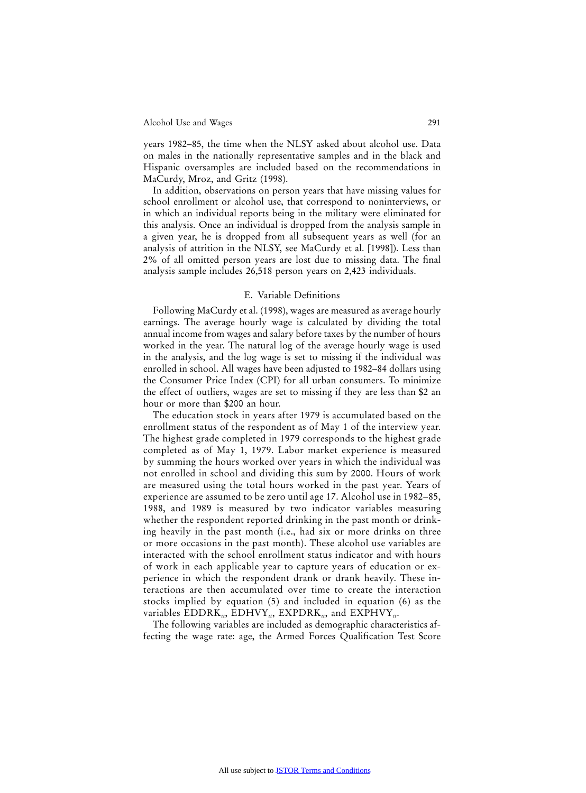years 1982–85, the time when the NLSY asked about alcohol use. Data on males in the nationally representative samples and in the black and Hispanic oversamples are included based on the recommendations in MaCurdy, Mroz, and Gritz (1998).

In addition, observations on person years that have missing values for school enrollment or alcohol use, that correspond to noninterviews, or in which an individual reports being in the military were eliminated for this analysis. Once an individual is dropped from the analysis sample in a given year, he is dropped from all subsequent years as well (for an analysis of attrition in the NLSY, see MaCurdy et al. [1998]). Less than 2% of all omitted person years are lost due to missing data. The final analysis sample includes 26,518 person years on 2,423 individuals.

#### E. Variable Definitions

Following MaCurdy et al. (1998), wages are measured as average hourly earnings. The average hourly wage is calculated by dividing the total annual income from wages and salary before taxes by the number of hours worked in the year. The natural log of the average hourly wage is used in the analysis, and the log wage is set to missing if the individual was enrolled in school. All wages have been adjusted to 1982–84 dollars using the Consumer Price Index (CPI) for all urban consumers. To minimize the effect of outliers, wages are set to missing if they are less than \$2 an hour or more than \$200 an hour.

The education stock in years after 1979 is accumulated based on the enrollment status of the respondent as of May 1 of the interview year. The highest grade completed in 1979 corresponds to the highest grade completed as of May 1, 1979. Labor market experience is measured by summing the hours worked over years in which the individual was not enrolled in school and dividing this sum by 2000. Hours of work are measured using the total hours worked in the past year. Years of experience are assumed to be zero until age 17. Alcohol use in 1982–85, 1988, and 1989 is measured by two indicator variables measuring whether the respondent reported drinking in the past month or drinking heavily in the past month (i.e., had six or more drinks on three or more occasions in the past month). These alcohol use variables are interacted with the school enrollment status indicator and with hours of work in each applicable year to capture years of education or experience in which the respondent drank or drank heavily. These interactions are then accumulated over time to create the interaction stocks implied by equation (5) and included in equation (6) as the variables EDDRK<sub>*it*</sub>, EDHVY<sub>*it*</sub>, EXPDRK<sub>*it*</sub>, and EXPHVY<sub>*it*</sub>.

The following variables are included as demographic characteristics affecting the wage rate: age, the Armed Forces Qualification Test Score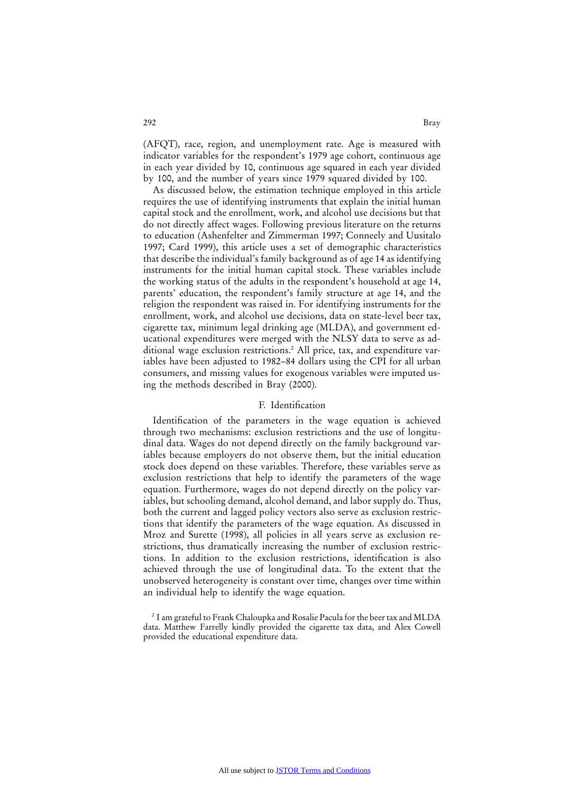(AFQT), race, region, and unemployment rate. Age is measured with indicator variables for the respondent's 1979 age cohort, continuous age in each year divided by 10, continuous age squared in each year divided by 100, and the number of years since 1979 squared divided by 100.

As discussed below, the estimation technique employed in this article requires the use of identifying instruments that explain the initial human capital stock and the enrollment, work, and alcohol use decisions but that do not directly affect wages. Following previous literature on the returns to education (Ashenfelter and Zimmerman 1997; Conneely and Uusitalo 1997; Card 1999), this article uses a set of demographic characteristics that describe the individual's family background as of age 14 as identifying instruments for the initial human capital stock. These variables include the working status of the adults in the respondent's household at age 14, parents' education, the respondent's family structure at age 14, and the religion the respondent was raised in. For identifying instruments for the enrollment, work, and alcohol use decisions, data on state-level beer tax, cigarette tax, minimum legal drinking age (MLDA), and government educational expenditures were merged with the NLSY data to serve as additional wage exclusion restrictions.<sup>2</sup> All price, tax, and expenditure variables have been adjusted to 1982–84 dollars using the CPI for all urban consumers, and missing values for exogenous variables were imputed using the methods described in Bray (2000).

#### F. Identification

Identification of the parameters in the wage equation is achieved through two mechanisms: exclusion restrictions and the use of longitudinal data. Wages do not depend directly on the family background variables because employers do not observe them, but the initial education stock does depend on these variables. Therefore, these variables serve as exclusion restrictions that help to identify the parameters of the wage equation. Furthermore, wages do not depend directly on the policy variables, but schooling demand, alcohol demand, and labor supply do. Thus, both the current and lagged policy vectors also serve as exclusion restrictions that identify the parameters of the wage equation. As discussed in Mroz and Surette (1998), all policies in all years serve as exclusion restrictions, thus dramatically increasing the number of exclusion restrictions. In addition to the exclusion restrictions, identification is also achieved through the use of longitudinal data. To the extent that the unobserved heterogeneity is constant over time, changes over time within an individual help to identify the wage equation.

<sup>2</sup> I am grateful to Frank Chaloupka and Rosalie Pacula for the beer tax and MLDA data. Matthew Farrelly kindly provided the cigarette tax data, and Alex Cowell provided the educational expenditure data.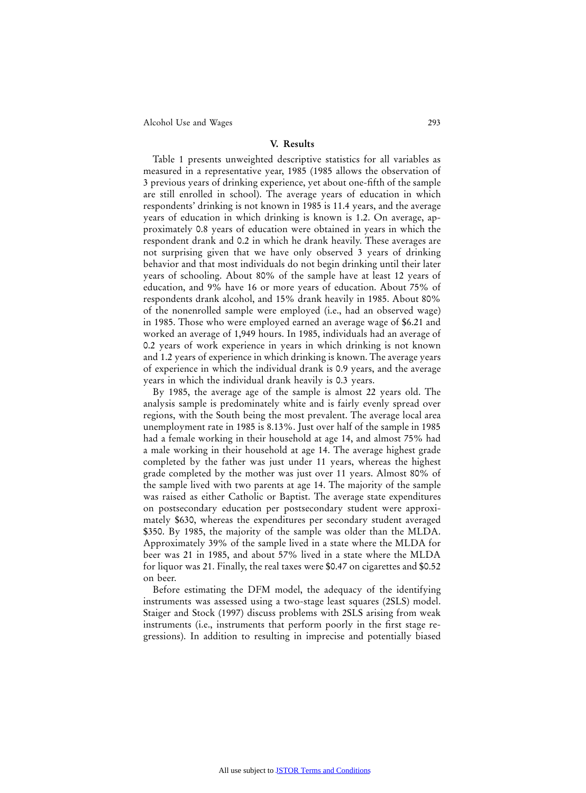#### **V. Results**

Table 1 presents unweighted descriptive statistics for all variables as measured in a representative year, 1985 (1985 allows the observation of 3 previous years of drinking experience, yet about one-fifth of the sample are still enrolled in school). The average years of education in which respondents' drinking is not known in 1985 is 11.4 years, and the average years of education in which drinking is known is 1.2. On average, approximately 0.8 years of education were obtained in years in which the respondent drank and 0.2 in which he drank heavily. These averages are not surprising given that we have only observed 3 years of drinking behavior and that most individuals do not begin drinking until their later years of schooling. About 80% of the sample have at least 12 years of education, and 9% have 16 or more years of education. About 75% of respondents drank alcohol, and 15% drank heavily in 1985. About 80% of the nonenrolled sample were employed (i.e., had an observed wage) in 1985. Those who were employed earned an average wage of \$6.21 and worked an average of 1,949 hours. In 1985, individuals had an average of 0.2 years of work experience in years in which drinking is not known and 1.2 years of experience in which drinking is known. The average years of experience in which the individual drank is 0.9 years, and the average years in which the individual drank heavily is 0.3 years.

By 1985, the average age of the sample is almost 22 years old. The analysis sample is predominately white and is fairly evenly spread over regions, with the South being the most prevalent. The average local area unemployment rate in 1985 is 8.13%. Just over half of the sample in 1985 had a female working in their household at age 14, and almost 75% had a male working in their household at age 14. The average highest grade completed by the father was just under 11 years, whereas the highest grade completed by the mother was just over 11 years. Almost 80% of the sample lived with two parents at age 14. The majority of the sample was raised as either Catholic or Baptist. The average state expenditures on postsecondary education per postsecondary student were approximately \$630, whereas the expenditures per secondary student averaged \$350. By 1985, the majority of the sample was older than the MLDA. Approximately 39% of the sample lived in a state where the MLDA for beer was 21 in 1985, and about 57% lived in a state where the MLDA for liquor was 21. Finally, the real taxes were \$0.47 on cigarettes and \$0.52 on beer.

Before estimating the DFM model, the adequacy of the identifying instruments was assessed using a two-stage least squares (2SLS) model. Staiger and Stock (1997) discuss problems with 2SLS arising from weak instruments (i.e., instruments that perform poorly in the first stage regressions). In addition to resulting in imprecise and potentially biased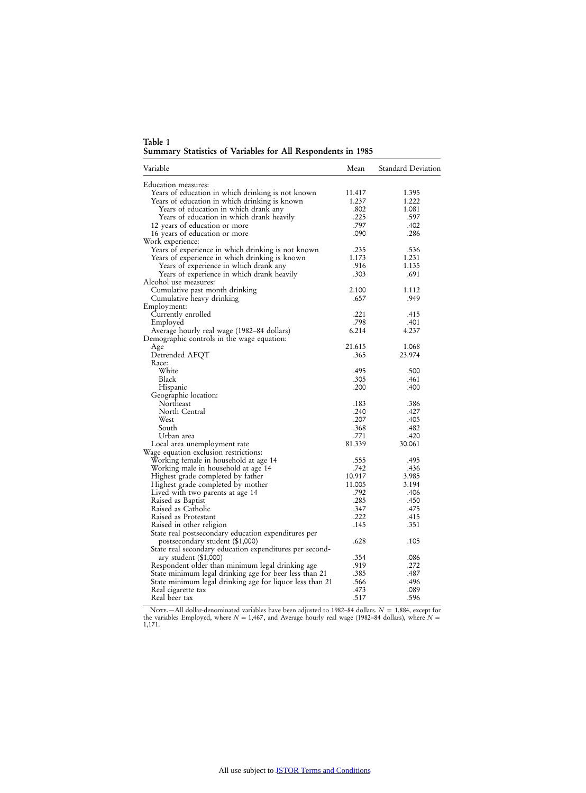**Table 1 Summary Statistics of Variables for All Respondents in 1985**

| Variable                                                                       | Mean           | Standard Deviation |
|--------------------------------------------------------------------------------|----------------|--------------------|
| Education measures:                                                            |                |                    |
| Years of education in which drinking is not known                              | 11.417         | 1.395              |
| Years of education in which drinking is known                                  | 1.237          | 1.222              |
| Years of education in which drank any                                          | .802           | 1.081              |
| Years of education in which drank heavily                                      | .225           | .597               |
| 12 years of education or more                                                  | .797           | .402               |
| 16 years of education or more                                                  | .090           | .286               |
| Work experience:                                                               |                |                    |
| Years of experience in which drinking is not known                             | .235           | .536               |
| Years of experience in which drinking is known                                 | 1.173          | 1.231              |
| Years of experience in which drank any                                         | .916           | 1.135              |
| Years of experience in which drank heavily                                     | .303           | .691               |
| Alcohol use measures:                                                          |                |                    |
| Cumulative past month drinking                                                 | 2.100          | 1.112              |
| Cumulative heavy drinking                                                      | .657           | .949               |
| Employment:                                                                    |                |                    |
| Currently enrolled                                                             | .221           | .415               |
| Employed                                                                       | .798           | .401               |
| Average hourly real wage (1982–84 dollars)                                     | 6.214          | 4.237              |
| Demographic controls in the wage equation:                                     |                |                    |
| Age                                                                            | 21.615         | 1.068              |
| Detrended AFQT                                                                 | .365           | 23.974             |
| Race:                                                                          |                |                    |
| White                                                                          | .495           | .500               |
| Black                                                                          | .305           | .461               |
| Hispanic                                                                       | .200           | .400               |
| Geographic location:<br>Northeast                                              |                |                    |
|                                                                                | .183           | .386               |
| North Central<br>West                                                          | .240<br>.207   | .427<br>.405       |
| South                                                                          |                |                    |
|                                                                                | .368           | .482               |
| Urban area                                                                     | .771<br>81.339 | .420<br>30.061     |
| Local area unemployment rate                                                   |                |                    |
| Wage equation exclusion restrictions:<br>Working female in household at age 14 | .555           | .495               |
| Working male in household at age 14                                            | .742           | .436               |
| Highest grade completed by father                                              | 10.917         | 3.985              |
| Highest grade completed by mother                                              | 11.005         | 3.194              |
| Lived with two parents at age 14                                               | .792           | .406               |
| Raised as Baptist                                                              | .285           | .450               |
| Raised as Catholic                                                             | .347           | .475               |
| Raised as Protestant                                                           | .222           | .415               |
| Raised in other religion                                                       | .145           | .351               |
| State real postsecondary education expenditures per                            |                |                    |
| postsecondary student (\$1,000)                                                | .628           | .105               |
| State real secondary education expenditures per second-                        |                |                    |
| ary student (\$1,000)                                                          | .354           | .086               |
| Respondent older than minimum legal drinking age                               | .919           | .272               |
| State minimum legal drinking age for beer less than 21                         | .385           | .487               |
| State minimum legal drinking age for liquor less than 21                       | .566           | .496               |
| Real cigarette tax                                                             | .473           | .089               |
| Real beer tax                                                                  | .517           | .596               |

NOTE.—All dollar-denominated variables have been adjusted to 1982–84 dollars.  $N = 1,884$ , except for the variables Employed, where  $N = 1,467$ , and Average hourly real wage (1982–84 dollars), where  $N = 1,171$ .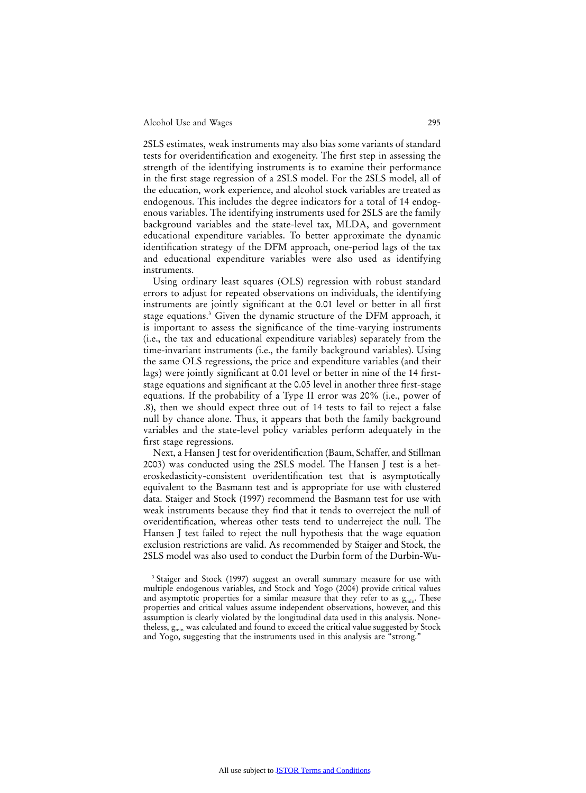2SLS estimates, weak instruments may also bias some variants of standard tests for overidentification and exogeneity. The first step in assessing the strength of the identifying instruments is to examine their performance in the first stage regression of a 2SLS model. For the 2SLS model, all of the education, work experience, and alcohol stock variables are treated as endogenous. This includes the degree indicators for a total of 14 endogenous variables. The identifying instruments used for 2SLS are the family background variables and the state-level tax, MLDA, and government educational expenditure variables. To better approximate the dynamic identification strategy of the DFM approach, one-period lags of the tax and educational expenditure variables were also used as identifying instruments.

Using ordinary least squares (OLS) regression with robust standard errors to adjust for repeated observations on individuals, the identifying instruments are jointly significant at the 0.01 level or better in all first stage equations.3 Given the dynamic structure of the DFM approach, it is important to assess the significance of the time-varying instruments (i.e., the tax and educational expenditure variables) separately from the time-invariant instruments (i.e., the family background variables). Using the same OLS regressions, the price and expenditure variables (and their lags) were jointly significant at 0.01 level or better in nine of the 14 firststage equations and significant at the 0.05 level in another three first-stage equations. If the probability of a Type II error was 20% (i.e., power of .8), then we should expect three out of 14 tests to fail to reject a false null by chance alone. Thus, it appears that both the family background variables and the state-level policy variables perform adequately in the first stage regressions.

Next, a Hansen J test for overidentification (Baum, Schaffer, and Stillman 2003) was conducted using the 2SLS model. The Hansen J test is a heteroskedasticity-consistent overidentification test that is asymptotically equivalent to the Basmann test and is appropriate for use with clustered data. Staiger and Stock (1997) recommend the Basmann test for use with weak instruments because they find that it tends to overreject the null of overidentification, whereas other tests tend to underreject the null. The Hansen J test failed to reject the null hypothesis that the wage equation exclusion restrictions are valid. As recommended by Staiger and Stock, the 2SLS model was also used to conduct the Durbin form of the Durbin-Wu-

<sup>&</sup>lt;sup>3</sup> Staiger and Stock (1997) suggest an overall summary measure for use with multiple endogenous variables, and Stock and Yogo (2004) provide critical values and asymptotic properties for a similar measure that they refer to as  $g_{min}$ . These properties and critical values assume independent observations, however, and this assumption is clearly violated by the longitudinal data used in this analysis. Nonetheless, g<sub>min</sub> was calculated and found to exceed the critical value suggested by Stock and Yogo, suggesting that the instruments used in this analysis are "strong."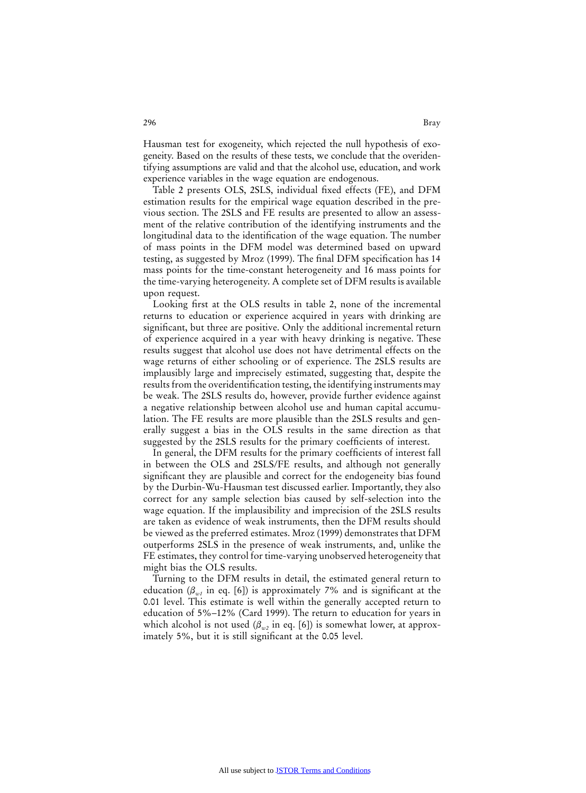Hausman test for exogeneity, which rejected the null hypothesis of exogeneity. Based on the results of these tests, we conclude that the overidentifying assumptions are valid and that the alcohol use, education, and work experience variables in the wage equation are endogenous.

Table 2 presents OLS, 2SLS, individual fixed effects (FE), and DFM estimation results for the empirical wage equation described in the previous section. The 2SLS and FE results are presented to allow an assessment of the relative contribution of the identifying instruments and the longitudinal data to the identification of the wage equation. The number of mass points in the DFM model was determined based on upward testing, as suggested by Mroz (1999). The final DFM specification has 14 mass points for the time-constant heterogeneity and 16 mass points for the time-varying heterogeneity. A complete set of DFM results is available upon request.

Looking first at the OLS results in table 2, none of the incremental returns to education or experience acquired in years with drinking are significant, but three are positive. Only the additional incremental return of experience acquired in a year with heavy drinking is negative. These results suggest that alcohol use does not have detrimental effects on the wage returns of either schooling or of experience. The 2SLS results are implausibly large and imprecisely estimated, suggesting that, despite the results from the overidentification testing, the identifying instruments may be weak. The 2SLS results do, however, provide further evidence against a negative relationship between alcohol use and human capital accumulation. The FE results are more plausible than the 2SLS results and generally suggest a bias in the OLS results in the same direction as that suggested by the 2SLS results for the primary coefficients of interest.

In general, the DFM results for the primary coefficients of interest fall in between the OLS and 2SLS/FE results, and although not generally significant they are plausible and correct for the endogeneity bias found by the Durbin-Wu-Hausman test discussed earlier. Importantly, they also correct for any sample selection bias caused by self-selection into the wage equation. If the implausibility and imprecision of the 2SLS results are taken as evidence of weak instruments, then the DFM results should be viewed as the preferred estimates. Mroz (1999) demonstrates that DFM outperforms 2SLS in the presence of weak instruments, and, unlike the FE estimates, they control for time-varying unobserved heterogeneity that might bias the OLS results.

Turning to the DFM results in detail, the estimated general return to education ( $\beta_{w1}$  in eq. [6]) is approximately 7% and is significant at the 0.01 level. This estimate is well within the generally accepted return to education of 5%–12% (Card 1999). The return to education for years in which alcohol is not used  $(\beta_{w2}$  in eq. [6]) is somewhat lower, at approximately 5%, but it is still significant at the 0.05 level.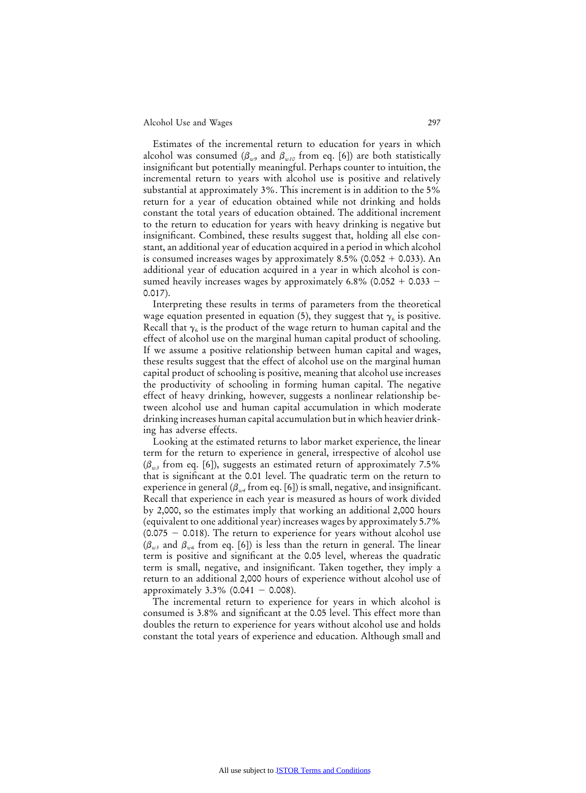Estimates of the incremental return to education for years in which alcohol was consumed ( $\beta_{w9}$  and  $\beta_{w10}$  from eq. [6]) are both statistically insignificant but potentially meaningful. Perhaps counter to intuition, the incremental return to years with alcohol use is positive and relatively substantial at approximately 3%. This increment is in addition to the 5% return for a year of education obtained while not drinking and holds constant the total years of education obtained. The additional increment to the return to education for years with heavy drinking is negative but insignificant. Combined, these results suggest that, holding all else constant, an additional year of education acquired in a period in which alcohol is consumed increases wages by approximately  $8.5\%$  (0.052  $+$  0.033). An additional year of education acquired in a year in which alcohol is consumed heavily increases wages by approximately 6.8% (0.052 + 0.033  $-$ 0.017).

Interpreting these results in terms of parameters from the theoretical wage equation presented in equation (5), they suggest that  $\gamma_6$  is positive. Recall that  $\gamma_6$  is the product of the wage return to human capital and the effect of alcohol use on the marginal human capital product of schooling. If we assume a positive relationship between human capital and wages, these results suggest that the effect of alcohol use on the marginal human capital product of schooling is positive, meaning that alcohol use increases the productivity of schooling in forming human capital. The negative effect of heavy drinking, however, suggests a nonlinear relationship between alcohol use and human capital accumulation in which moderate drinking increases human capital accumulation but in which heavier drinking has adverse effects.

Looking at the estimated returns to labor market experience, the linear term for the return to experience in general, irrespective of alcohol use  $(\beta_{w3}$  from eq. [6]), suggests an estimated return of approximately 7.5% that is significant at the 0.01 level. The quadratic term on the return to experience in general ( $\beta_{w4}$  from eq. [6]) is small, negative, and insignificant. Recall that experience in each year is measured as hours of work divided by 2,000, so the estimates imply that working an additional 2,000 hours (equivalent to one additional year) increases wages by approximately 5.7% (0.075 - 0.018). The return to experience for years without alcohol use ( $\beta_{w5}$  and  $\beta_{w6}$  from eq. [6]) is less than the return in general. The linear term is positive and significant at the 0.05 level, whereas the quadratic term is small, negative, and insignificant. Taken together, they imply a return to an additional 2,000 hours of experience without alcohol use of approximately 3.3% (0.041 – 0.008).

The incremental return to experience for years in which alcohol is consumed is 3.8% and significant at the 0.05 level. This effect more than doubles the return to experience for years without alcohol use and holds constant the total years of experience and education. Although small and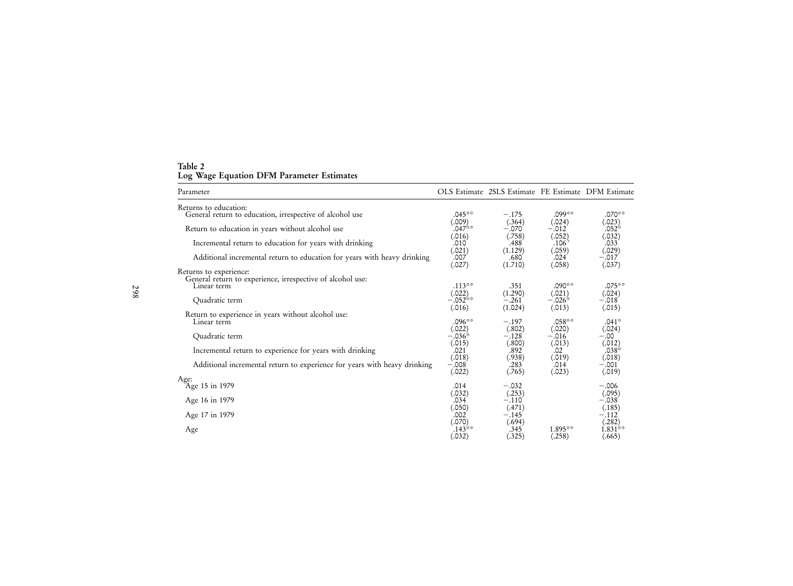| Parameter                                                                                           |                     |                   |                    | OLS Estimate 2SLS Estimate FE Estimate DFM Estimate |
|-----------------------------------------------------------------------------------------------------|---------------------|-------------------|--------------------|-----------------------------------------------------|
| Returns to education:<br>General return to education, irrespective of alcohol use                   | $.045***$           | $-.175$           | $.099**$           | .070**                                              |
| Return to education in years without alcohol use                                                    | (.009)              | (.364)            | (.024)             | (.023)                                              |
|                                                                                                     | $.047**$            | $-.070^{6}$       | $-.012$            | $.052*$                                             |
| Incremental return to education for years with drinking                                             | (.016)              | (.758)            | (.052)             | (.032)                                              |
|                                                                                                     | .010                | .488              | .106               | .033                                                |
| Additional incremental return to education for years with heavy drinking                            | (.021)              | (1.129)           | (.059)             | (.029)                                              |
|                                                                                                     | .007                | .680              | 0.024              | $-.017$                                             |
|                                                                                                     | (.027)              | (1.710)           | (.058)             | (.037)                                              |
| Returns to experience:<br>General return to experience, irrespective of alcohol use:<br>Linear term | $.113***$<br>(.022) | .351<br>(1.290)   | $.090**$<br>(.021) | $.075***$<br>(.024)                                 |
| Quadratic term                                                                                      | $-.052**$           | $-.261$           | $-.026*$           | $-.018$                                             |
|                                                                                                     | (.016)              | (1.024)           | (.013)             | (.015)                                              |
| Return to experience in years without alcohol use:                                                  | $.096***$           | $-.197$           | $.058***$          | $.041*$                                             |
| Linear term                                                                                         | (.022)              | (.802)            | (.020)             | (.024)                                              |
| Quadratic term                                                                                      | $-.036*$            | $-.128$           | $-.016$            | $-.00$                                              |
|                                                                                                     | (.015)              | (.800)            | (.013)             | (.012)                                              |
| Incremental return to experience for years with drinking                                            | .021                | .892              | .02                | $.038*$                                             |
|                                                                                                     | (.018)              | (.938)            | (.019)             | (.018)                                              |
| Additional incremental return to experience for years with heavy drinking                           | $-.008$             | .283              | 0.014              | $-.001$                                             |
|                                                                                                     | (.022)              | (.765)            | (.023)             | (.019)                                              |
| Age:                                                                                                | .014                | $-.032$           |                    | $-.006$                                             |
| Age 15 in 1979                                                                                      | (.032)              | (.253)            |                    | (.095)                                              |
| Age 16 in 1979                                                                                      | 0.34<br>(.050)      | $-.110$<br>(.471) |                    | $-.038$<br>(.185)                                   |
| Age 17 in 1979                                                                                      | .002<br>(.070)      | $-.145$<br>(.694) |                    | $-.112$<br>(.282)                                   |
| Age                                                                                                 | $.143**$            | .345              | 1.895**            | $1.831**$                                           |
|                                                                                                     | (.032)              | (.325)            | (.258)             | (.665)                                              |

### **Table 2Log Wage Equation DFM Parameter Estimates**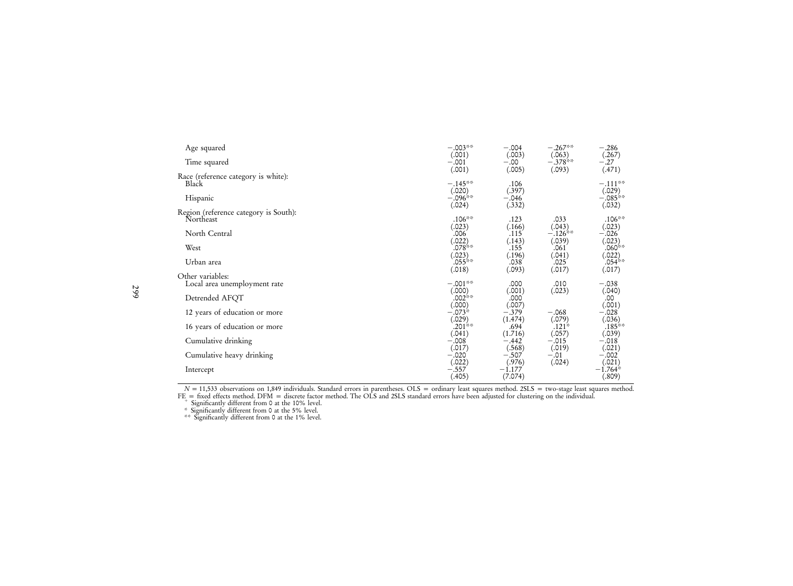| Age squared                                      | $-.003**$                                | $-.004$                  | $-.267**$ | $-.286$                       |
|--------------------------------------------------|------------------------------------------|--------------------------|-----------|-------------------------------|
|                                                  | (.001)                                   | (.003)                   | (.063)    | (.267)                        |
| Time squared                                     | $-.001$                                  | $-.00$                   | $-.378**$ | $-.27$                        |
|                                                  | (.001)                                   | (.005)                   | (.093)    | (.471)                        |
| Race (reference category is white):<br>Black     | $-.145**$<br>(.020)                      | .106<br>(.397)           |           | $-.111**$                     |
| Hispanic                                         | $-.096**$<br>(.024)                      | $-.046$<br>(.332)        |           | (.029)<br>$-.085**$<br>(.032) |
| Region (reference category is South):            | $.106***$                                | .123                     | .033      | $.106**$                      |
| Northeast                                        | (.023)                                   | (.166)                   | (.043)    | (.023)                        |
| North Central                                    | .006                                     | .115                     | $-.126**$ | $-.026$                       |
|                                                  | (.022)                                   | (.143)                   | (.039)    | (.023)                        |
| West                                             | $.078**$                                 | .155                     | .061      | $.060**$                      |
|                                                  | (.023)                                   | (.196)                   | (.041)    | (.022)                        |
| Urban area                                       | $.055***$                                | 0.038                    | .025      | $.054**$                      |
|                                                  | (.018)                                   | (.093)                   | (.017)    | (.017)                        |
| Other variables:<br>Local area unemployment rate | $-.001**$                                | .000                     | .010      | $-.038$                       |
| Detrended AFQT                                   | (.000)<br>$.002$ <sup>% *</sup><br>(000) | (.001)<br>000.<br>(.007) | (.023)    | (.040)<br>.00<br>(.001)       |
| 12 years of education or more                    | $-.073*$                                 | $-.379$                  | $-.068$   | $-.028$                       |
|                                                  | (.029)                                   | (1.474)                  | (.079)    | (.036)                        |
| 16 years of education or more                    | $.201**$                                 | .694                     | $.121*$   | $.185***$                     |
|                                                  | (.041)                                   | (1.716)                  | (.057)    | (.039)                        |
| Cumulative drinking                              | $-.008$                                  | $-.442$                  | $-.015$   | $-.018$                       |
|                                                  | (.017)                                   | (.568)                   | (.019)    | (.021)                        |
|                                                  | $-.020$                                  | $-.507$                  | $-.01$    | $-.002$                       |
| Cumulative heavy drinking                        | (.022)                                   | (.976)                   | (.024)    | (.021)                        |
| Intercept                                        | $-.557$                                  | $-1.177$                 |           | $-1.764*$                     |
|                                                  | (.405)                                   | (7.074)                  |           | (.809)                        |

 $N = 11,533$  observations on 1,849 individuals. Standard errors in parentheses. OLS = ordinary least squares method. 2SLS = two-stage least squares method FE = fixed effects method. DFM = discrete factor method. The OLS an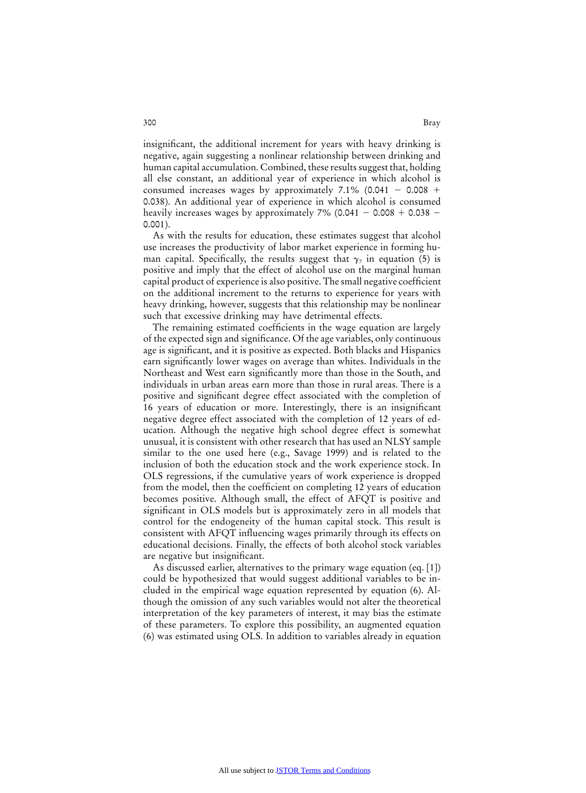insignificant, the additional increment for years with heavy drinking is negative, again suggesting a nonlinear relationship between drinking and human capital accumulation. Combined, these results suggest that, holding all else constant, an additional year of experience in which alcohol is consumed increases wages by approximately 7.1% (0.041  $-$  0.008  $+$ 0.038). An additional year of experience in which alcohol is consumed heavily increases wages by approximately 7% (0.041  $-$  0.008  $+$  0.038  $-$ 0.001).

As with the results for education, these estimates suggest that alcohol use increases the productivity of labor market experience in forming human capital. Specifically, the results suggest that  $\gamma$  in equation (5) is positive and imply that the effect of alcohol use on the marginal human capital product of experience is also positive. The small negative coefficient on the additional increment to the returns to experience for years with heavy drinking, however, suggests that this relationship may be nonlinear such that excessive drinking may have detrimental effects.

The remaining estimated coefficients in the wage equation are largely of the expected sign and significance. Of the age variables, only continuous age is significant, and it is positive as expected. Both blacks and Hispanics earn significantly lower wages on average than whites. Individuals in the Northeast and West earn significantly more than those in the South, and individuals in urban areas earn more than those in rural areas. There is a positive and significant degree effect associated with the completion of 16 years of education or more. Interestingly, there is an insignificant negative degree effect associated with the completion of 12 years of education. Although the negative high school degree effect is somewhat unusual, it is consistent with other research that has used an NLSY sample similar to the one used here (e.g., Savage 1999) and is related to the inclusion of both the education stock and the work experience stock. In OLS regressions, if the cumulative years of work experience is dropped from the model, then the coefficient on completing 12 years of education becomes positive. Although small, the effect of AFQT is positive and significant in OLS models but is approximately zero in all models that control for the endogeneity of the human capital stock. This result is consistent with AFQT influencing wages primarily through its effects on educational decisions. Finally, the effects of both alcohol stock variables are negative but insignificant.

As discussed earlier, alternatives to the primary wage equation (eq. [1]) could be hypothesized that would suggest additional variables to be included in the empirical wage equation represented by equation (6). Although the omission of any such variables would not alter the theoretical interpretation of the key parameters of interest, it may bias the estimate of these parameters. To explore this possibility, an augmented equation (6) was estimated using OLS. In addition to variables already in equation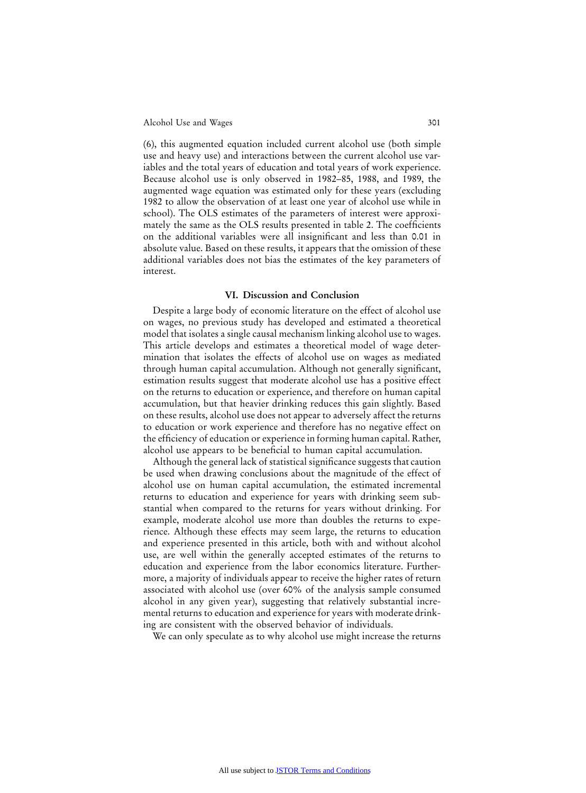(6), this augmented equation included current alcohol use (both simple use and heavy use) and interactions between the current alcohol use variables and the total years of education and total years of work experience. Because alcohol use is only observed in 1982–85, 1988, and 1989, the augmented wage equation was estimated only for these years (excluding 1982 to allow the observation of at least one year of alcohol use while in school). The OLS estimates of the parameters of interest were approximately the same as the OLS results presented in table 2. The coefficients on the additional variables were all insignificant and less than 0.01 in absolute value. Based on these results, it appears that the omission of these additional variables does not bias the estimates of the key parameters of interest.

#### **VI. Discussion and Conclusion**

Despite a large body of economic literature on the effect of alcohol use on wages, no previous study has developed and estimated a theoretical model that isolates a single causal mechanism linking alcohol use to wages. This article develops and estimates a theoretical model of wage determination that isolates the effects of alcohol use on wages as mediated through human capital accumulation. Although not generally significant, estimation results suggest that moderate alcohol use has a positive effect on the returns to education or experience, and therefore on human capital accumulation, but that heavier drinking reduces this gain slightly. Based on these results, alcohol use does not appear to adversely affect the returns to education or work experience and therefore has no negative effect on the efficiency of education or experience in forming human capital. Rather, alcohol use appears to be beneficial to human capital accumulation.

Although the general lack of statistical significance suggests that caution be used when drawing conclusions about the magnitude of the effect of alcohol use on human capital accumulation, the estimated incremental returns to education and experience for years with drinking seem substantial when compared to the returns for years without drinking. For example, moderate alcohol use more than doubles the returns to experience. Although these effects may seem large, the returns to education and experience presented in this article, both with and without alcohol use, are well within the generally accepted estimates of the returns to education and experience from the labor economics literature. Furthermore, a majority of individuals appear to receive the higher rates of return associated with alcohol use (over 60% of the analysis sample consumed alcohol in any given year), suggesting that relatively substantial incremental returns to education and experience for years with moderate drinking are consistent with the observed behavior of individuals.

We can only speculate as to why alcohol use might increase the returns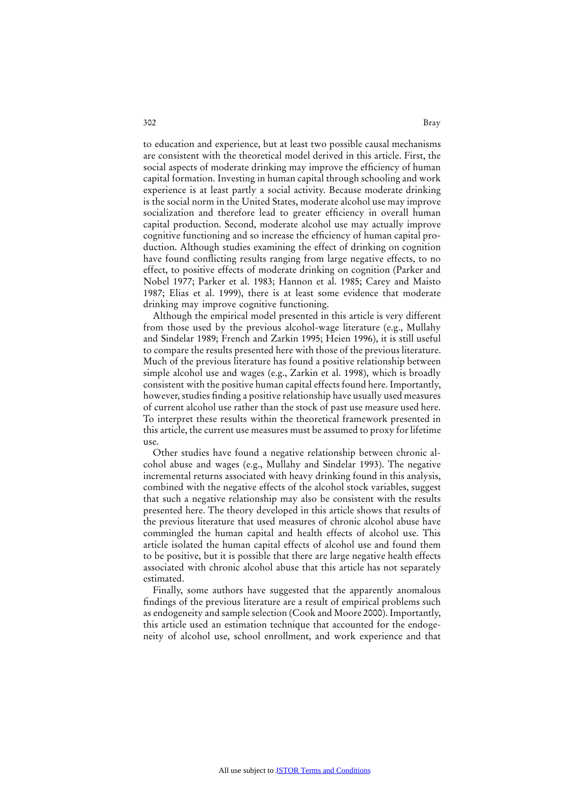to education and experience, but at least two possible causal mechanisms are consistent with the theoretical model derived in this article. First, the social aspects of moderate drinking may improve the efficiency of human capital formation. Investing in human capital through schooling and work experience is at least partly a social activity. Because moderate drinking is the social norm in the United States, moderate alcohol use may improve socialization and therefore lead to greater efficiency in overall human capital production. Second, moderate alcohol use may actually improve cognitive functioning and so increase the efficiency of human capital production. Although studies examining the effect of drinking on cognition have found conflicting results ranging from large negative effects, to no effect, to positive effects of moderate drinking on cognition (Parker and Nobel 1977; Parker et al. 1983; Hannon et al. 1985; Carey and Maisto 1987; Elias et al. 1999), there is at least some evidence that moderate drinking may improve cognitive functioning.

Although the empirical model presented in this article is very different from those used by the previous alcohol-wage literature (e.g., Mullahy and Sindelar 1989; French and Zarkin 1995; Heien 1996), it is still useful to compare the results presented here with those of the previous literature. Much of the previous literature has found a positive relationship between simple alcohol use and wages (e.g., Zarkin et al. 1998), which is broadly consistent with the positive human capital effects found here. Importantly, however, studies finding a positive relationship have usually used measures of current alcohol use rather than the stock of past use measure used here. To interpret these results within the theoretical framework presented in this article, the current use measures must be assumed to proxy for lifetime use.

Other studies have found a negative relationship between chronic alcohol abuse and wages (e.g., Mullahy and Sindelar 1993). The negative incremental returns associated with heavy drinking found in this analysis, combined with the negative effects of the alcohol stock variables, suggest that such a negative relationship may also be consistent with the results presented here. The theory developed in this article shows that results of the previous literature that used measures of chronic alcohol abuse have commingled the human capital and health effects of alcohol use. This article isolated the human capital effects of alcohol use and found them to be positive, but it is possible that there are large negative health effects associated with chronic alcohol abuse that this article has not separately estimated.

Finally, some authors have suggested that the apparently anomalous findings of the previous literature are a result of empirical problems such as endogeneity and sample selection (Cook and Moore 2000). Importantly, this article used an estimation technique that accounted for the endogeneity of alcohol use, school enrollment, and work experience and that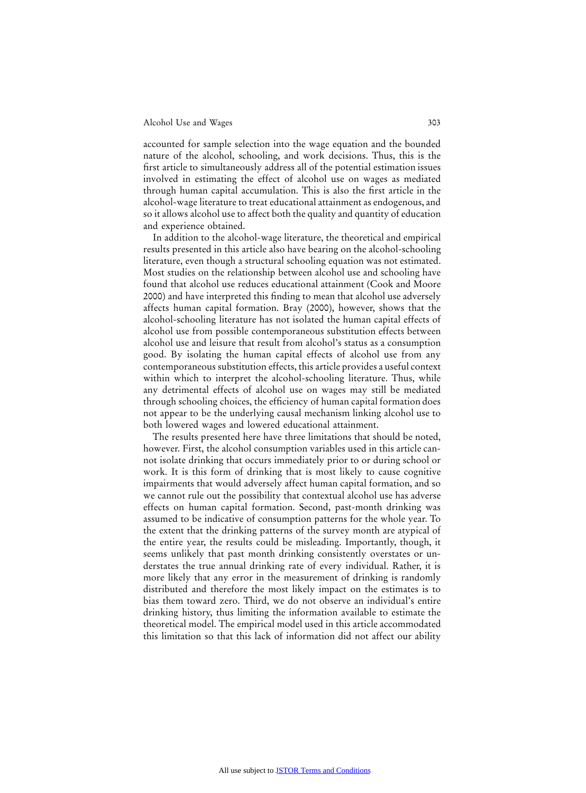accounted for sample selection into the wage equation and the bounded nature of the alcohol, schooling, and work decisions. Thus, this is the first article to simultaneously address all of the potential estimation issues involved in estimating the effect of alcohol use on wages as mediated through human capital accumulation. This is also the first article in the alcohol-wage literature to treat educational attainment as endogenous, and so it allows alcohol use to affect both the quality and quantity of education and experience obtained.

In addition to the alcohol-wage literature, the theoretical and empirical results presented in this article also have bearing on the alcohol-schooling literature, even though a structural schooling equation was not estimated. Most studies on the relationship between alcohol use and schooling have found that alcohol use reduces educational attainment (Cook and Moore 2000) and have interpreted this finding to mean that alcohol use adversely affects human capital formation. Bray (2000), however, shows that the alcohol-schooling literature has not isolated the human capital effects of alcohol use from possible contemporaneous substitution effects between alcohol use and leisure that result from alcohol's status as a consumption good. By isolating the human capital effects of alcohol use from any contemporaneous substitution effects, this article provides a useful context within which to interpret the alcohol-schooling literature. Thus, while any detrimental effects of alcohol use on wages may still be mediated through schooling choices, the efficiency of human capital formation does not appear to be the underlying causal mechanism linking alcohol use to both lowered wages and lowered educational attainment.

The results presented here have three limitations that should be noted, however. First, the alcohol consumption variables used in this article cannot isolate drinking that occurs immediately prior to or during school or work. It is this form of drinking that is most likely to cause cognitive impairments that would adversely affect human capital formation, and so we cannot rule out the possibility that contextual alcohol use has adverse effects on human capital formation. Second, past-month drinking was assumed to be indicative of consumption patterns for the whole year. To the extent that the drinking patterns of the survey month are atypical of the entire year, the results could be misleading. Importantly, though, it seems unlikely that past month drinking consistently overstates or understates the true annual drinking rate of every individual. Rather, it is more likely that any error in the measurement of drinking is randomly distributed and therefore the most likely impact on the estimates is to bias them toward zero. Third, we do not observe an individual's entire drinking history, thus limiting the information available to estimate the theoretical model. The empirical model used in this article accommodated this limitation so that this lack of information did not affect our ability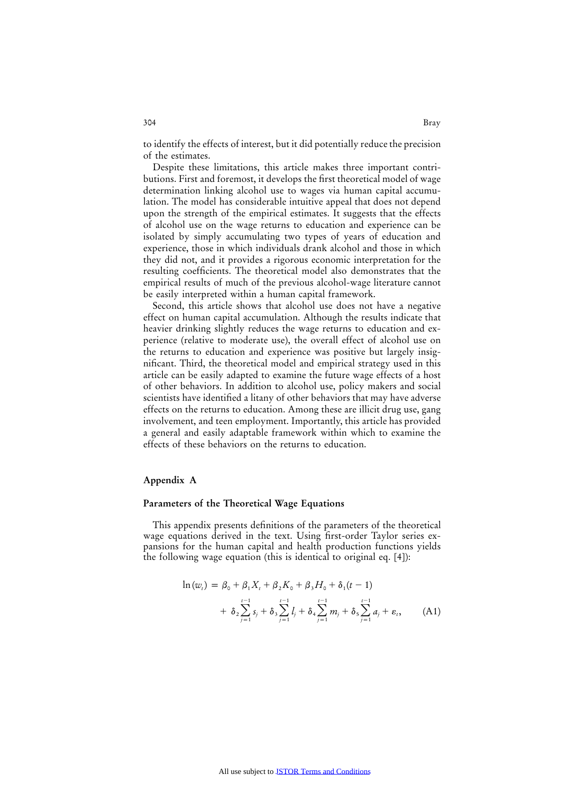to identify the effects of interest, but it did potentially reduce the precision of the estimates.

Despite these limitations, this article makes three important contributions. First and foremost, it develops the first theoretical model of wage determination linking alcohol use to wages via human capital accumulation. The model has considerable intuitive appeal that does not depend upon the strength of the empirical estimates. It suggests that the effects of alcohol use on the wage returns to education and experience can be isolated by simply accumulating two types of years of education and experience, those in which individuals drank alcohol and those in which they did not, and it provides a rigorous economic interpretation for the resulting coefficients. The theoretical model also demonstrates that the empirical results of much of the previous alcohol-wage literature cannot be easily interpreted within a human capital framework.

Second, this article shows that alcohol use does not have a negative effect on human capital accumulation. Although the results indicate that heavier drinking slightly reduces the wage returns to education and experience (relative to moderate use), the overall effect of alcohol use on the returns to education and experience was positive but largely insignificant. Third, the theoretical model and empirical strategy used in this article can be easily adapted to examine the future wage effects of a host of other behaviors. In addition to alcohol use, policy makers and social scientists have identified a litany of other behaviors that may have adverse effects on the returns to education. Among these are illicit drug use, gang involvement, and teen employment. Importantly, this article has provided a general and easily adaptable framework within which to examine the effects of these behaviors on the returns to education.

#### **Appendix A**

#### **Parameters of the Theoretical Wage Equations**

This appendix presents definitions of the parameters of the theoretical wage equations derived in the text. Using first-order Taylor series expansions for the human capital and health production functions yields the following wage equation (this is identical to original eq. [4]):

$$
\ln(w_i) = \beta_0 + \beta_1 X_i + \beta_2 K_0 + \beta_3 H_0 + \delta_1 (t - 1) + \delta_2 \sum_{j=1}^{t-1} s_j + \delta_3 \sum_{j=1}^{t-1} l_j + \delta_4 \sum_{j=1}^{t-1} m_j + \delta_5 \sum_{j=1}^{t-1} a_j + \varepsilon_t,
$$
 (A1)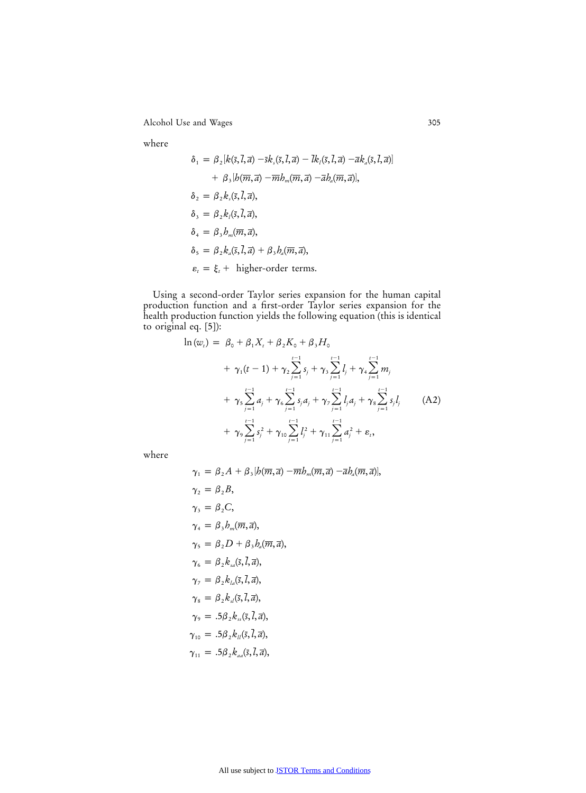where

$$
\delta_1 = \beta_2[k(\bar{s}, \bar{l}, \bar{a}) - \bar{s}k_s(\bar{s}, \bar{l}, \bar{a}) - \bar{l}k_l(\bar{s}, \bar{l}, \bar{a}) - \bar{a}k_s(\bar{s}, \bar{l}, \bar{a})]
$$
  
+  $\beta_3[b(\overline{m}, \bar{a}) - \overline{m}k_m(\overline{m}, \bar{a}) - \bar{a}k_s(\overline{m}, \bar{a})]$ ,  

$$
\delta_2 = \beta_2k_s(\bar{s}, \bar{l}, \bar{a}),
$$
  

$$
\delta_3 = \beta_2k_l(\bar{s}, \bar{l}, \bar{a}),
$$
  

$$
\delta_4 = \beta_3h_m(\overline{m}, \bar{a}),
$$
  

$$
\delta_5 = \beta_2k_s(\bar{s}, \bar{l}, \bar{a}) + \beta_3h_s(\overline{m}, \bar{a}),
$$
  

$$
\varepsilon_t = \xi_t + \text{higher-order terms.}
$$

Using a second-order Taylor series expansion for the human capital production function and a first-order Taylor series expansion for the health production function yields the following equation (this is identical to original eq. [5]):

$$
\ln(w_{t}) = \beta_{0} + \beta_{1}X_{t} + \beta_{2}K_{0} + \beta_{3}H_{0}
$$
\n
$$
+ \gamma_{1}(t-1) + \gamma_{2} \sum_{j=1}^{t-1} s_{j} + \gamma_{3} \sum_{j=1}^{t-1} l_{j} + \gamma_{4} \sum_{j=1}^{t-1} m_{j}
$$
\n
$$
+ \gamma_{5} \sum_{j=1}^{t-1} a_{j} + \gamma_{6} \sum_{j=1}^{t-1} s_{j} a_{j} + \gamma_{7} \sum_{j=1}^{t-1} l_{j} a_{j} + \gamma_{8} \sum_{j=1}^{t-1} s_{j} l_{j}
$$
\n
$$
+ \gamma_{9} \sum_{j=1}^{t-1} s_{j}^{2} + \gamma_{10} \sum_{j=1}^{t-1} l_{j}^{2} + \gamma_{11} \sum_{j=1}^{t-1} a_{j}^{2} + \varepsilon_{t},
$$
\n(A2)

where

$$
\gamma_1 = \beta_2 A + \beta_3 [b(\overline{m}, \overline{a}) - \overline{m} b_m(\overline{m}, \overline{a}) - \overline{a} b_a(\overline{m}, \overline{a})],
$$
  
\n
$$
\gamma_2 = \beta_2 B,
$$
  
\n
$$
\gamma_3 = \beta_2 C,
$$
  
\n
$$
\gamma_4 = \beta_3 b_m(\overline{m}, \overline{a}),
$$
  
\n
$$
\gamma_5 = \beta_2 D + \beta_3 b_a(\overline{m}, \overline{a}),
$$
  
\n
$$
\gamma_6 = \beta_2 k_{sa}(\overline{s}, \overline{l}, \overline{a}),
$$
  
\n
$$
\gamma_7 = \beta_2 k_{la}(\overline{s}, \overline{l}, \overline{a}),
$$
  
\n
$$
\gamma_8 = \beta_2 k_{si}(\overline{s}, \overline{l}, \overline{a}),
$$
  
\n
$$
\gamma_9 = .5\beta_2 k_{si}(\overline{s}, \overline{l}, \overline{a}),
$$
  
\n
$$
\gamma_{10} = .5\beta_2 k_{la}(\overline{s}, \overline{l}, \overline{a}),
$$
  
\n
$$
\gamma_{11} = .5\beta_2 k_{aa}(\overline{s}, \overline{l}, \overline{a}),
$$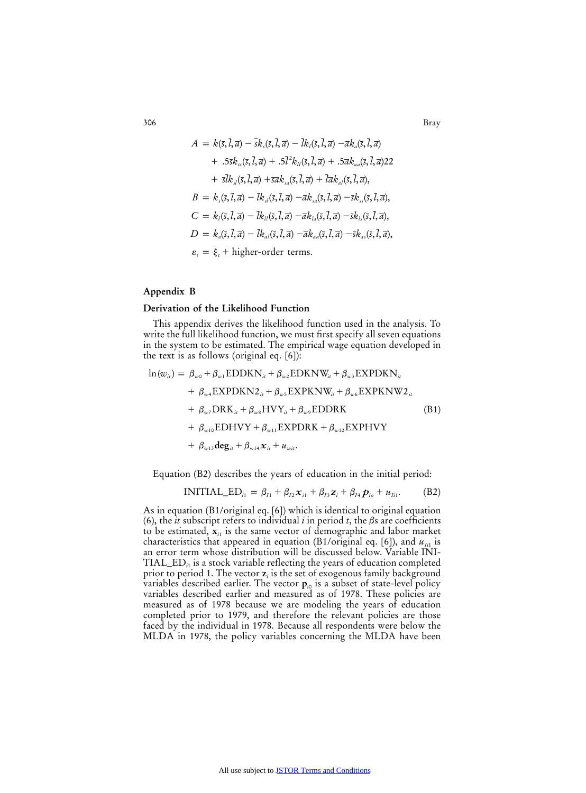306 Bray

$$
A = k(\bar{s}, \bar{l}, \bar{a}) - \bar{s}k_{s}(\bar{s}, \bar{l}, \bar{a}) - lk_{l}(\bar{s}, \bar{l}, \bar{a}) - \bar{a}k_{a}(\bar{s}, \bar{l}, \bar{a})
$$
  
+ .5\bar{s}k\_{ss}(\bar{s}, \bar{l}, \bar{a}) + .5\bar{l}^{2}k\_{ll}(\bar{s}, \bar{l}, \bar{a}) + .5\bar{a}k\_{aa}(\bar{s}, \bar{l}, \bar{a})22  
+ \bar{s}lk\_{sl}(\bar{s}, \bar{l}, \bar{a}) + \bar{s}ak\_{sa}(\bar{s}, \bar{l}, \bar{a}) + \bar{l}ak\_{al}(\bar{s}, \bar{l}, \bar{a}),  

$$
B = k_{s}(\bar{s}, \bar{l}, \bar{a}) - lk_{sl}(\bar{s}, \bar{l}, \bar{a}) - \bar{a}k_{sa}(\bar{s}, \bar{l}, \bar{a}) - \bar{s}k_{ss}(\bar{s}, \bar{l}, \bar{a}),
$$
  

$$
C = k_{l}(\bar{s}, \bar{l}, \bar{a}) - lk_{ll}(\bar{s}, \bar{l}, \bar{a}) - \bar{a}k_{la}(\bar{s}, \bar{l}, \bar{a}) - \bar{s}k_{ls}(\bar{s}, \bar{l}, \bar{a}),
$$
  

$$
D = k_{a}(\bar{s}, \bar{l}, \bar{a}) - lk_{al}(\bar{s}, \bar{l}, \bar{a}) - \bar{a}k_{aa}(\bar{s}, \bar{l}, \bar{a}) - \bar{s}k_{as}(\bar{s}, \bar{l}, \bar{a}),
$$
  

$$
\varepsilon_{i} = \xi_{i} + \text{higher-order terms.}
$$

#### **Appendix B**

#### **Derivation of the Likelihood Function**

This appendix derives the likelihood function used in the analysis. To write the full likelihood function, we must first specify all seven equations in the system to be estimated. The empirical wage equation developed in the text is as follows (original eq. [6]):

$$
\ln(\omega_{ii}) = \beta_{w0} + \beta_{w1} \text{EDDKN}_{ii} + \beta_{w2} \text{EDKNW}_{ii} + \beta_{w3} \text{EXPDKN}_{ii}
$$
  
+  $\beta_{w4} \text{EXPDKN2}_{ii} + \beta_{w5} \text{EXPKNW}_{ii} + \beta_{w6} \text{EXPKNW2}_{ii}$   
+  $\beta_{w7} \text{DRK}_{ii} + \beta_{w8} \text{HVY}_{ii} + \beta_{w9} \text{EDDRK}$   
+  $\beta_{w10} \text{EDHVY} + \beta_{w11} \text{EXPDRK} + \beta_{w12} \text{EXPHVY}$   
+  $\beta_{w13} \text{deg}_{ii} + \beta_{w14} x_{ii} + u_{wi}$ .

Equation (B2) describes the years of education in the initial period:

$$
INITIAL\_ED_{i1} = \beta_{I1} + \beta_{I2}x_{i1} + \beta_{I3}z_{i} + \beta_{I4}p_{io} + u_{Ii1}. \tag{B2}
$$

As in equation (B1/original eq. [6]) which is identical to original equation (6), the  $it$  subscript refers to individual  $i$  in period  $t$ , the  $\beta s$  are coefficients to be estimated,  $\mathbf{x}_{i1}$  is the same vector of demographic and labor market characteristics that appeared in equation (B1/original eq. [6]), and  $u_{Ii1}$  is an error term whose distribution will be discussed below. Variable INI-TIAL\_ED*i*<sup>1</sup> is a stock variable reflecting the years of education completed prior to period 1. The vector **z***<sup>i</sup>* is the set of exogenous family background variables described earlier. The vector  $\mathbf{p}_{i0}$  is a subset of state-level policy variables described earlier and measured as of 1978. These policies are measured as of 1978 because we are modeling the years of education completed prior to 1979, and therefore the relevant policies are those faced by the individual in 1978. Because all respondents were below the MLDA in 1978, the policy variables concerning the MLDA have been

All use subject to **JSTOR Terms and Conditions**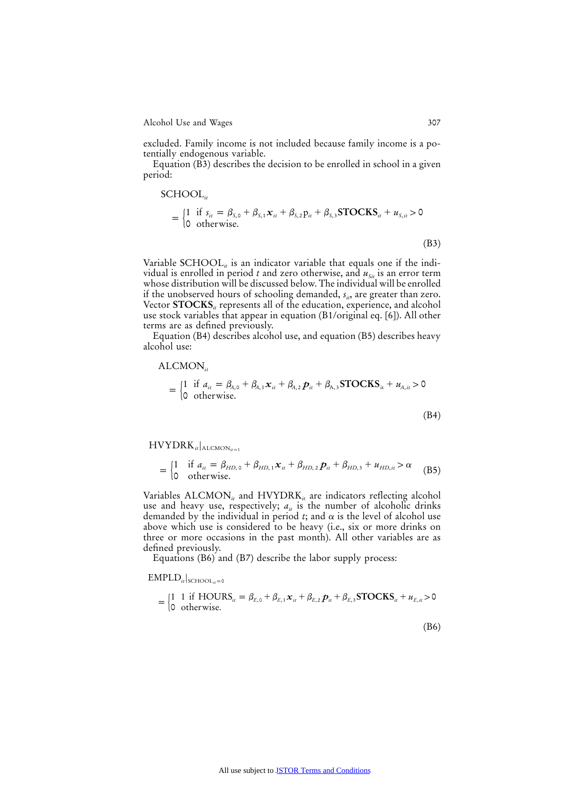excluded. Family income is not included because family income is a potentially endogenous variable.

Equation (B3) describes the decision to be enrolled in school in a given period:

SCHOOL<sub>ii</sub>  
= 
$$
\begin{cases} 1 & \text{if } s_{ii} = \beta_{S,0} + \beta_{S,1} x_{ii} + \beta_{S,2} p_{ii} + \beta_{S,3} \text{STOCKS}_{ii} + u_{S,ii} > 0 \\ 0 & \text{otherwise.} \end{cases}
$$
(B3)

Variable  $SCHOOL<sub>it</sub>$  is an indicator variable that equals one if the individual is enrolled in period  $t$  and zero otherwise, and  $u_{Sit}$  is an error term whose distribution will be discussed below. The individual will be enrolled if the unobserved hours of schooling demanded,  $s_{it}$ , are greater than zero. Vector **STOCKS**<sub>*it*</sub> represents all of the education, experience, and alcohol use stock variables that appear in equation (B1/original eq. [6]). All other terms are as defined previously.

Equation (B4) describes alcohol use, and equation (B5) describes heavy alcohol use:

$$
ALCMON_{it}
$$

$$
= \begin{cases} 1 & \text{if } a_{ii} = \beta_{A,0} + \beta_{A,1} x_{ii} + \beta_{A,2} p_{ii} + \beta_{A,3} \text{STOCKS}_{it} + u_{A,ii} > 0 \\ 0 & \text{otherwise.} \end{cases}
$$
\n(B4)

 $HVTDRK_{it}|_{ALCMON_{it=1}}$ 

$$
= \begin{cases} 1 & \text{if } a_{it} = \beta_{HD,0} + \beta_{HD,1} x_{it} + \beta_{HD,2} p_{it} + \beta_{HD,3} + u_{HD,it} > \alpha \\ 0 & \text{otherwise.} \end{cases}
$$
 (B5)

Variables  $ALCMON_{it}$  and  $HVYDRK_{it}$  are indicators reflecting alcohol use and heavy use, respectively;  $a_{it}$  is the number of alcoholic drinks demanded by the individual in period  $t$ ; and  $\alpha$  is the level of alcohol use above which use is considered to be heavy (i.e., six or more drinks on three or more occasions in the past month). All other variables are as defined previously.

Equations (B6) and (B7) describe the labor supply process:

 $EMPLD<sub>it</sub>|<sub>SCHOOL<sub>it</sub>=0</sub>$ 

$$
= \begin{cases} 1 & \text{if HOUNS}_{it} = \beta_{E,0} + \beta_{E,1} x_{it} + \beta_{E,2} p_{it} + \beta_{E,3} \text{STOCKS}_{it} + u_{E,ii} > 0\\ 0 & \text{otherwise.} \end{cases}
$$

(B6)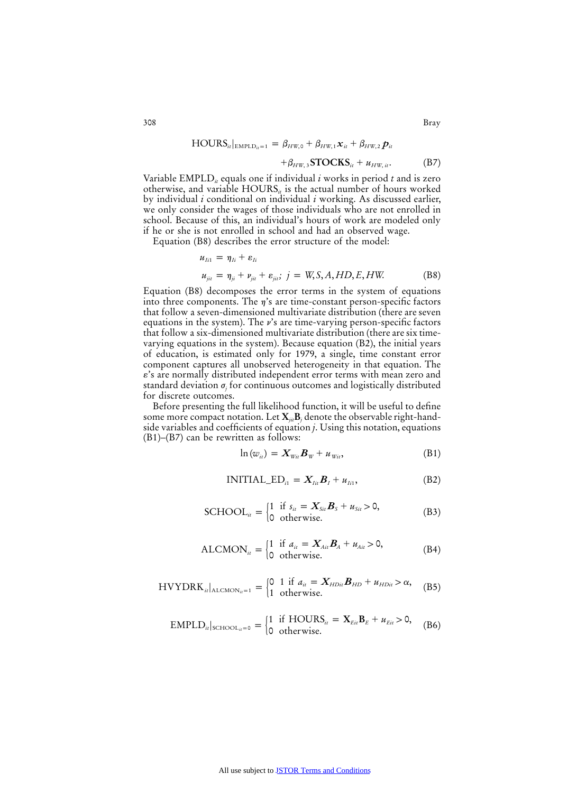$$
\text{HOUSS}_{it}|_{\text{EMPLD}_{it}=1} = \beta_{HW,0} + \beta_{HW,1} \mathbf{x}_{it} + \beta_{HW,2} \mathbf{p}_{it}
$$

$$
+ \beta_{HW,3} \text{STOCKS}_{it} + u_{HW,it}. \tag{B7}
$$

Variable  $EMPLD<sub>i</sub>$  equals one if individual *i* works in period *t* and is zero otherwise, and variable HOURS<sub>*it*</sub> is the actual number of hours worked by individual *i* conditional on individual *i* working. As discussed earlier, we only consider the wages of those individuals who are not enrolled in school. Because of this, an individual's hours of work are modeled only if he or she is not enrolled in school and had an observed wage.

Equation (B8) describes the error structure of the model:

$$
u_{Ii1} = \eta_{Ii} + \varepsilon_{Ii}
$$
  

$$
u_{jit} = \eta_{ji} + \nu_{jit} + \varepsilon_{jit}; \quad j = W, S, A, HD, E, HW.
$$
 (B8)

Equation (B8) decomposes the error terms in the system of equations into three components. The  $\eta$ 's are time-constant person-specific factors that follow a seven-dimensioned multivariate distribution (there are seven equations in the system). The  $\nu$ 's are time-varying person-specific factors that follow a six-dimensioned multivariate distribution (there are six timevarying equations in the system). Because equation (B2), the initial years of education, is estimated only for 1979, a single, time constant error component captures all unobserved heterogeneity in that equation. The 's are normally distributed independent error terms with mean zero and standard deviation  $\sigma_i$  for continuous outcomes and logistically distributed for discrete outcomes.

Before presenting the full likelihood function, it will be useful to define some more compact notation. Let  $\mathbf{X}_{ii}$ **B***j* denote the observable right-handside variables and coefficients of equation *j*. Using this notation, equations (B1)–(B7) can be rewritten as follows:

$$
\ln(\mathbf{w}_{ii}) = \mathbf{X}_{\text{Wi}i} \mathbf{B}_{\text{W}} + \mathbf{u}_{\text{Wi}i}, \tag{B1}
$$

$$
INITIAL\_ED_{i1} = X_{Ii}B_{I} + u_{Ii1}, \qquad (B2)
$$

SCHOOL<sub>ii</sub> = 
$$
\begin{cases} 1 & \text{if } s_{ii} = X_{Si}B_s + u_{Si} > 0, \\ 0 & \text{otherwise.} \end{cases}
$$
 (B3)

ALCMON<sub>ii</sub> = 
$$
\begin{cases} 1 & \text{if } a_{ii} = X_{Ai}B_A + u_{Ai} > 0, \\ 0 & \text{otherwise.} \end{cases}
$$
 (B4)

HVYDRK<sub>ii</sub>|<sub>ALCMON<sub>ii</sub>=1</sub> = 
$$
\begin{cases} 0 & 1 \text{ if } a_{ii} = X_{HDii}B_{HD} + u_{HDii} > \alpha, \\ 1 & \text{otherwise.} \end{cases}
$$
 (B5)

$$
EMPLD_{ii}|_{\text{SCHOOL}_{ii}=0} = \begin{cases} 1 & \text{if HOURS}_{ii} = \mathbf{X}_{Eii}\mathbf{B}_{E} + u_{Eii} > 0, \\ 0 & \text{otherwise.} \end{cases}
$$
 (B6)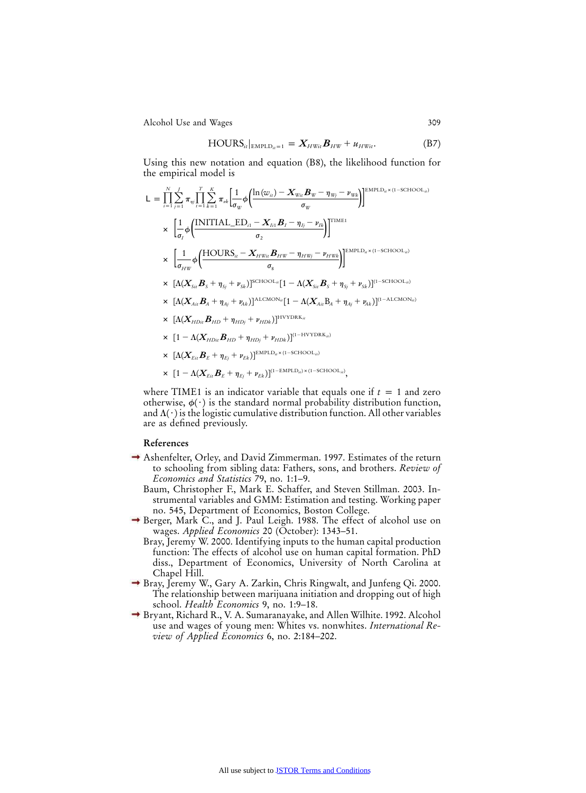$$
HOURS_{it}|_{EMPLD_{it}=1} = X_{HWit}B_{HW} + u_{HWit}.
$$
 (B7)

Using this new notation and equation (B8), the likelihood function for the empirical model is

$$
L = \prod_{i=1}^{N} \sum_{j=1}^{J} \pi_{\eta j} \prod_{i=1}^{T} \sum_{k=1}^{K} \pi_{\nu k} \left[ \frac{1}{\sigma_{\psi}} \phi \left( \frac{\ln(w_{ii}) - X_{wi}B_{w} - \eta_{wj} - \nu_{wk}}{\sigma_{w}} \right) \right]^{EMPLD_{ii} \times (1-SCHOOL_{ii})}
$$
\n
$$
\times \left[ \frac{1}{\sigma_{f}} \phi \left( \frac{\text{INITIAL} - \text{ED}_{i1} - X_{i1}B_{f} - \eta_{fj} - \nu_{fk}}{\sigma_{2}} \right) \right]^{TMEL1}
$$
\n
$$
\times \left[ \frac{1}{\sigma_{HW}} \phi \left( \frac{\text{HOURS}_{i} - X_{HWi}B_{HW} - \eta_{HWj} - \nu_{HWk}}{\sigma_{8}} \right) \right]^{EMPLD_{ii} \times (1-SCHOOL_{ii})}
$$
\n
$$
\times \left[ \Delta(X_{Si}B_{S} + \eta_{Sj} + \nu_{Sk}) \right]^{SCHOOL_{ii}} [1 - \Delta(X_{Si}B_{S} + \eta_{Sj} + \nu_{Sk})]^{(1-SCHOOL_{ii})}
$$
\n
$$
\times \left[ \Delta(X_{Ai}B_{A} + \eta_{Ai} + \nu_{Ak}) \right]^{ALCMON_{ii}} [1 - \Delta(X_{Ai}B_{A} + \eta_{Ai} + \nu_{Ak})]^{(1-ALCMON_{ii})}
$$
\n
$$
\times \left[ \Delta(X_{HDi}B_{HD} + \eta_{HDj} + \nu_{HDk}) \right]^{HYDRK_{ii}}
$$
\n
$$
\times \left[ 1 - \Delta(X_{HDi}B_{HD} + \eta_{HDj} + \nu_{HDk}) \right]^{(1-HVYDRK_{ii})}
$$
\n
$$
\times \left[ \Delta(X_{Ei}B_{E} + \eta_{Ej} + \nu_{Ek}) \right]^{EMPLD_{ii} \times (1-SCHOOL_{ii})}
$$
\n
$$
\times \left[ 1 - \Delta(X_{Ei}B_{E} + \eta_{Ej} + \nu_{Ek}) \right]^{(1-EMPLD_{ii}) \times (1-SCHOOL_{ii})},
$$

where TIME1 is an indicator variable that equals one if  $t = 1$  and zero otherwise,  $\phi(\cdot)$  is the standard normal probability distribution function, and  $\Lambda(\cdot)$  is the logistic cumulative distribution function. All other variables are as defined previously.

#### **References**

- Ashenfelter, Orley, and David Zimmerman. 1997. Estimates of the return to schooling from sibling data: Fathers, sons, and brothers. *Review of Economics and Statistics* 79, no. 1:1–9.
	- Baum, Christopher F., Mark E. Schaffer, and Steven Stillman. 2003. Instrumental variables and GMM: Estimation and testing. Working paper no. 545, Department of Economics, Boston College.
- Berger, Mark C., and J. Paul Leigh. 1988. The effect of alcohol use on wages. *Applied Economics* 20 (October): 1343–51.
	- Bray, Jeremy W. 2000. Identifying inputs to the human capital production function: The effects of alcohol use on human capital formation. PhD diss., Department of Economics, University of North Carolina at Chapel Hill.
- → Bray, Jeremy W., Gary A. Zarkin, Chris Ringwalt, and Junfeng Qi. 2000. The relationship between marijuana initiation and dropping out of high school. *Health Economics* 9, no. 1:9–18.
- → Bryant, Richard R., V. A. Sumaranayake, and Allen Wilhite. 1992. Alcohol use and wages of young men: Whites vs. nonwhites. *International Review of Applied Economics* 6, no. 2:184–202.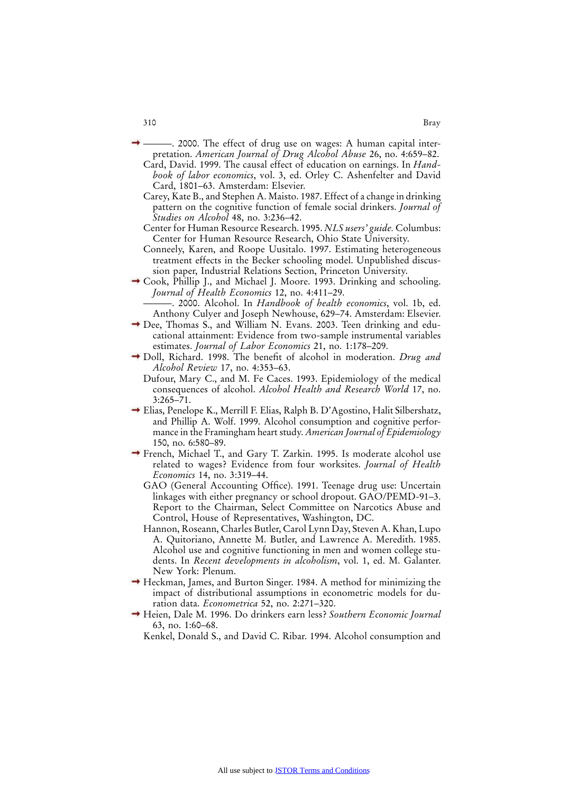- -. 2000. The effect of drug use on wages: A human capital interpretation. *American Journal of Drug Alcohol Abuse* 26, no. 4:659–82.
- Card, David. 1999. The causal effect of education on earnings. In *Handbook of labor economics*, vol. 3, ed. Orley C. Ashenfelter and David Card, 1801–63. Amsterdam: Elsevier.
- Carey, Kate B., and Stephen A. Maisto. 1987. Effect of a change in drinking pattern on the cognitive function of female social drinkers. *Journal of Studies on Alcohol* 48, no. 3:236–42.
- Center for Human Resource Research. 1995. *NLS users' guide.* Columbus: Center for Human Resource Research, Ohio State University.
- Conneely, Karen, and Roope Uusitalo. 1997. Estimating heterogeneous treatment effects in the Becker schooling model. Unpublished discussion paper, Industrial Relations Section, Princeton University.
- Cook, Phillip J., and Michael J. Moore. 1993. Drinking and schooling. *Journal of Health Economics* 12, no. 4:411–29.
	- ———. 2000. Alcohol. In *Handbook of health economics*, vol. 1b, ed. Anthony Culyer and Joseph Newhouse, 629–74. Amsterdam: Elsevier.
- $\rightarrow$  Dee, Thomas S., and William N. Evans. 2003. Teen drinking and educational attainment: Evidence from two-sample instrumental variables estimates. *Journal of Labor Economics* 21, no. 1:178–209.
- → Doll, Richard. 1998. The benefit of alcohol in moderation. *Drug and Alcohol Review* 17, no. 4:353–63.
	- Dufour, Mary C., and M. Fe Caces. 1993. Epidemiology of the medical consequences of alcohol. *Alcohol Health and Research World* 17, no. 3:265–71.
- Elias, Penelope K., Merrill F. Elias, Ralph B. D'Agostino, Halit Silbershatz, and Phillip A. Wolf. 1999. Alcohol consumption and cognitive performance in the Framingham heart study. *American Journal of Epidemiology* 150, no. 6:580–89.
- French, Michael T., and Gary T. Zarkin. 1995. Is moderate alcohol use related to wages? Evidence from four worksites. *Journal of Health Economics* 14, no. 3:319–44.
	- GAO (General Accounting Office). 1991. Teenage drug use: Uncertain linkages with either pregnancy or school dropout. GAO/PEMD-91–3. Report to the Chairman, Select Committee on Narcotics Abuse and Control, House of Representatives, Washington, DC.
	- Hannon, Roseann, Charles Butler, Carol Lynn Day, Steven A. Khan, Lupo A. Quitoriano, Annette M. Butler, and Lawrence A. Meredith. 1985. Alcohol use and cognitive functioning in men and women college students. In *Recent developments in alcoholism*, vol. 1, ed. M. Galanter. New York: Plenum.
- → Heckman, James, and Burton Singer. 1984. A method for minimizing the impact of distributional assumptions in econometric models for duration data. *Econometrica* 52, no. 2:271–320.
- Heien, Dale M. 1996. Do drinkers earn less? *Southern Economic Journal* 63, no. 1:60–68.

Kenkel, Donald S., and David C. Ribar. 1994. Alcohol consumption and

#### 310 Bray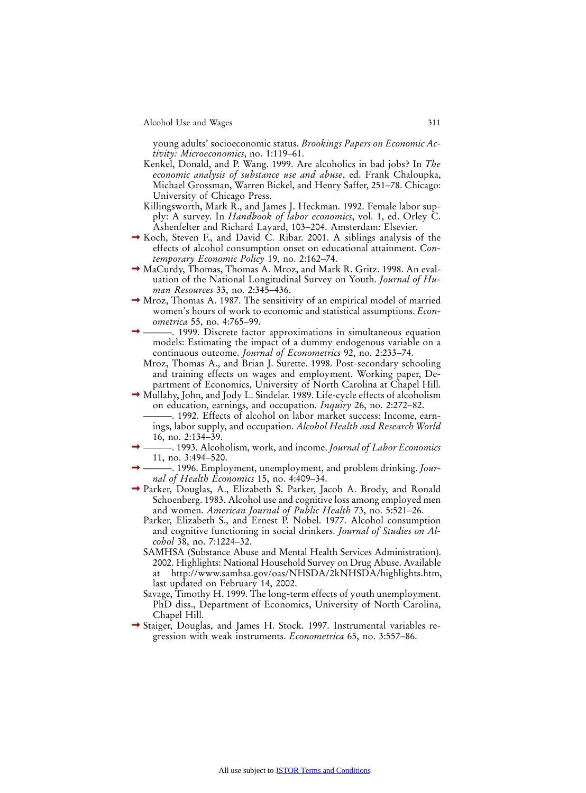young adults' socioeconomic status. *Brookings Papers on Economic Activity: Microeconomics*, no. 1:119–61.

- Kenkel, Donald, and P. Wang. 1999. Are alcoholics in bad jobs? In *The economic analysis of substance use and abuse*, ed. Frank Chaloupka, Michael Grossman, Warren Bickel, and Henry Saffer, 251–78. Chicago: University of Chicago Press.
- Killingsworth, Mark R., and James J. Heckman. 1992. Female labor supply: A survey. In *Handbook of labor economics*, vol. 1, ed. Orley C. Ashenfelter and Richard Layard, 103–204. Amsterdam: Elsevier.
- Koch, Steven F., and David C. Ribar. 2001. A siblings analysis of the effects of alcohol consumption onset on educational attainment. *Contemporary Economic Policy* 19, no. 2:162–74.
- MaCurdy, Thomas, Thomas A. Mroz, and Mark R. Gritz. 1998. An evaluation of the National Longitudinal Survey on Youth. *Journal of Human Resources* 33, no. 2:345–436.
- $\rightarrow$  Mroz, Thomas A. 1987. The sensitivity of an empirical model of married women's hours of work to economic and statistical assumptions. *Econometrica* 55, no. 4:765–99.
- ———. 1999. Discrete factor approximations in simultaneous equation models: Estimating the impact of a dummy endogenous variable on a continuous outcome. *Journal of Econometrics* 92, no. 2:233–74.
- Mroz, Thomas A., and Brian J. Surette. 1998. Post-secondary schooling and training effects on wages and employment. Working paper, Department of Economics, University of North Carolina at Chapel Hill.
- Mullahy, John, and Jody L. Sindelar. 1989. Life-cycle effects of alcoholism on education, earnings, and occupation. *Inquiry* 26, no. 2:272–82.
	- -. 1992. Effects of alcohol on labor market success: Income, earnings, labor supply, and occupation. *Alcohol Health and Research World* 16, no. 2:134–39.
- ———. 1993. Alcoholism, work, and income. *Journal of Labor Economics* 11, no. 3:494–520.
- -. 1996. Employment, unemployment, and problem drinking. *Journal of Health Economics* 15, no. 4:409–34.
- Parker, Douglas, A., Elizabeth S. Parker, Jacob A. Brody, and Ronald Schoenberg. 1983. Alcohol use and cognitive loss among employed men and women. *American Journal of Public Health* 73, no. 5:521–26.
	- Parker, Elizabeth S., and Ernest P. Nobel. 1977. Alcohol consumption and cognitive functioning in social drinkers. *Journal of Studies on Alcohol* 38, no. 7:1224–32.
	- SAMHSA (Substance Abuse and Mental Health Services Administration). 2002. Highlights: National Household Survey on Drug Abuse. Available at http://www.samhsa.gov/oas/NHSDA/2kNHSDA/highlights.htm, last updated on February 14, 2002.
	- Savage, Timothy H. 1999. The long-term effects of youth unemployment. PhD diss., Department of Economics, University of North Carolina, Chapel Hill.
- Staiger, Douglas, and James H. Stock. 1997. Instrumental variables regression with weak instruments. *Econometrica* 65, no. 3:557–86.